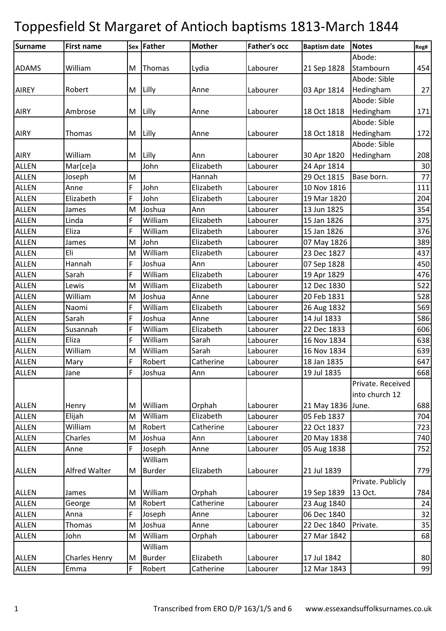| Surname<br>Abode:<br>William<br>21 Sep 1828<br>Stambourn<br><b>ADAMS</b><br>M<br>Thomas<br>Lydia<br>Labourer<br>Abode: Sible<br>Lilly<br>Hedingham<br>Robert<br>03 Apr 1814<br><b>AIREY</b><br>M<br>Anne<br>Labourer<br>Abode: Sible<br>18 Oct 1818<br>Hedingham<br><b>AIRY</b><br>Ambrose<br>M<br>Lilly<br>Labourer<br>Anne<br>Abode: Sible<br>Hedingham<br>Lilly<br>18 Oct 1818<br><b>AIRY</b><br><b>Thomas</b><br>M<br>Anne<br>Labourer<br>Abode: Sible<br><b>AIRY</b><br>William<br>Lilly<br>30 Apr 1820<br>Hedingham<br>M<br>Labourer<br>Ann<br>John<br>Mar[ce]a<br>Elizabeth<br><b>ALLEN</b><br>Labourer<br>24 Apr 1814<br><b>ALLEN</b><br>M<br>Hannah<br>29 Oct 1815<br>Joseph<br>Base born.<br>John<br><b>ALLEN</b><br>F<br>Elizabeth<br>10 Nov 1816<br>Labourer<br>Anne<br>F<br>John<br><b>ALLEN</b><br>19 Mar 1820<br>Elizabeth<br>Elizabeth<br>Labourer<br><b>ALLEN</b><br>M<br>Joshua<br>James<br>Labourer<br>13 Jun 1825<br>Ann<br>William<br>Elizabeth<br><b>ALLEN</b><br>Linda<br>F<br>Labourer<br>15 Jan 1826<br>F<br>William<br><b>ALLEN</b><br>Eliza<br>Elizabeth<br>15 Jan 1826<br>Labourer<br>John<br><b>ALLEN</b><br>M<br>Elizabeth<br>07 May 1826<br>Labourer<br>James<br>Eli<br>William<br><b>ALLEN</b><br>Elizabeth<br>23 Dec 1827<br>M<br>Labourer<br>Hannah<br>F<br><b>ALLEN</b><br>Joshua<br>Labourer<br>07 Sep 1828<br>Ann<br>Sarah<br>F<br>William<br><b>ALLEN</b><br>Elizabeth<br>Labourer<br>19 Apr 1829<br>William<br>12 Dec 1830<br><b>ALLEN</b><br>Lewis<br>M<br>Elizabeth<br>Labourer |           |
|--------------------------------------------------------------------------------------------------------------------------------------------------------------------------------------------------------------------------------------------------------------------------------------------------------------------------------------------------------------------------------------------------------------------------------------------------------------------------------------------------------------------------------------------------------------------------------------------------------------------------------------------------------------------------------------------------------------------------------------------------------------------------------------------------------------------------------------------------------------------------------------------------------------------------------------------------------------------------------------------------------------------------------------------------------------------------------------------------------------------------------------------------------------------------------------------------------------------------------------------------------------------------------------------------------------------------------------------------------------------------------------------------------------------------------------------------------------------------------------------------------------------------|-----------|
|                                                                                                                                                                                                                                                                                                                                                                                                                                                                                                                                                                                                                                                                                                                                                                                                                                                                                                                                                                                                                                                                                                                                                                                                                                                                                                                                                                                                                                                                                                                          | 454<br>27 |
|                                                                                                                                                                                                                                                                                                                                                                                                                                                                                                                                                                                                                                                                                                                                                                                                                                                                                                                                                                                                                                                                                                                                                                                                                                                                                                                                                                                                                                                                                                                          |           |
|                                                                                                                                                                                                                                                                                                                                                                                                                                                                                                                                                                                                                                                                                                                                                                                                                                                                                                                                                                                                                                                                                                                                                                                                                                                                                                                                                                                                                                                                                                                          |           |
|                                                                                                                                                                                                                                                                                                                                                                                                                                                                                                                                                                                                                                                                                                                                                                                                                                                                                                                                                                                                                                                                                                                                                                                                                                                                                                                                                                                                                                                                                                                          |           |
|                                                                                                                                                                                                                                                                                                                                                                                                                                                                                                                                                                                                                                                                                                                                                                                                                                                                                                                                                                                                                                                                                                                                                                                                                                                                                                                                                                                                                                                                                                                          |           |
|                                                                                                                                                                                                                                                                                                                                                                                                                                                                                                                                                                                                                                                                                                                                                                                                                                                                                                                                                                                                                                                                                                                                                                                                                                                                                                                                                                                                                                                                                                                          | 171       |
|                                                                                                                                                                                                                                                                                                                                                                                                                                                                                                                                                                                                                                                                                                                                                                                                                                                                                                                                                                                                                                                                                                                                                                                                                                                                                                                                                                                                                                                                                                                          |           |
|                                                                                                                                                                                                                                                                                                                                                                                                                                                                                                                                                                                                                                                                                                                                                                                                                                                                                                                                                                                                                                                                                                                                                                                                                                                                                                                                                                                                                                                                                                                          | 172       |
|                                                                                                                                                                                                                                                                                                                                                                                                                                                                                                                                                                                                                                                                                                                                                                                                                                                                                                                                                                                                                                                                                                                                                                                                                                                                                                                                                                                                                                                                                                                          |           |
|                                                                                                                                                                                                                                                                                                                                                                                                                                                                                                                                                                                                                                                                                                                                                                                                                                                                                                                                                                                                                                                                                                                                                                                                                                                                                                                                                                                                                                                                                                                          | 208       |
|                                                                                                                                                                                                                                                                                                                                                                                                                                                                                                                                                                                                                                                                                                                                                                                                                                                                                                                                                                                                                                                                                                                                                                                                                                                                                                                                                                                                                                                                                                                          | 30        |
|                                                                                                                                                                                                                                                                                                                                                                                                                                                                                                                                                                                                                                                                                                                                                                                                                                                                                                                                                                                                                                                                                                                                                                                                                                                                                                                                                                                                                                                                                                                          | 77        |
|                                                                                                                                                                                                                                                                                                                                                                                                                                                                                                                                                                                                                                                                                                                                                                                                                                                                                                                                                                                                                                                                                                                                                                                                                                                                                                                                                                                                                                                                                                                          | 111       |
|                                                                                                                                                                                                                                                                                                                                                                                                                                                                                                                                                                                                                                                                                                                                                                                                                                                                                                                                                                                                                                                                                                                                                                                                                                                                                                                                                                                                                                                                                                                          | 204       |
|                                                                                                                                                                                                                                                                                                                                                                                                                                                                                                                                                                                                                                                                                                                                                                                                                                                                                                                                                                                                                                                                                                                                                                                                                                                                                                                                                                                                                                                                                                                          | 354       |
|                                                                                                                                                                                                                                                                                                                                                                                                                                                                                                                                                                                                                                                                                                                                                                                                                                                                                                                                                                                                                                                                                                                                                                                                                                                                                                                                                                                                                                                                                                                          | 375       |
|                                                                                                                                                                                                                                                                                                                                                                                                                                                                                                                                                                                                                                                                                                                                                                                                                                                                                                                                                                                                                                                                                                                                                                                                                                                                                                                                                                                                                                                                                                                          | 376       |
|                                                                                                                                                                                                                                                                                                                                                                                                                                                                                                                                                                                                                                                                                                                                                                                                                                                                                                                                                                                                                                                                                                                                                                                                                                                                                                                                                                                                                                                                                                                          | 389       |
|                                                                                                                                                                                                                                                                                                                                                                                                                                                                                                                                                                                                                                                                                                                                                                                                                                                                                                                                                                                                                                                                                                                                                                                                                                                                                                                                                                                                                                                                                                                          | 437       |
|                                                                                                                                                                                                                                                                                                                                                                                                                                                                                                                                                                                                                                                                                                                                                                                                                                                                                                                                                                                                                                                                                                                                                                                                                                                                                                                                                                                                                                                                                                                          | 450       |
|                                                                                                                                                                                                                                                                                                                                                                                                                                                                                                                                                                                                                                                                                                                                                                                                                                                                                                                                                                                                                                                                                                                                                                                                                                                                                                                                                                                                                                                                                                                          | 476       |
|                                                                                                                                                                                                                                                                                                                                                                                                                                                                                                                                                                                                                                                                                                                                                                                                                                                                                                                                                                                                                                                                                                                                                                                                                                                                                                                                                                                                                                                                                                                          | 522       |
| William<br>Joshua<br><b>ALLEN</b><br>Anne<br>Labourer<br>20 Feb 1831<br>M                                                                                                                                                                                                                                                                                                                                                                                                                                                                                                                                                                                                                                                                                                                                                                                                                                                                                                                                                                                                                                                                                                                                                                                                                                                                                                                                                                                                                                                | 528       |
| <b>ALLEN</b><br>F<br>William<br>Elizabeth<br>Naomi<br>Labourer<br>26 Aug 1832                                                                                                                                                                                                                                                                                                                                                                                                                                                                                                                                                                                                                                                                                                                                                                                                                                                                                                                                                                                                                                                                                                                                                                                                                                                                                                                                                                                                                                            | 569       |
| F<br><b>ALLEN</b><br>Sarah<br>Joshua<br>14 Jul 1833<br>Labourer<br>Anne                                                                                                                                                                                                                                                                                                                                                                                                                                                                                                                                                                                                                                                                                                                                                                                                                                                                                                                                                                                                                                                                                                                                                                                                                                                                                                                                                                                                                                                  | 586       |
| Susannah<br>F<br><b>ALLEN</b><br>William<br>Elizabeth<br>Labourer<br>22 Dec 1833                                                                                                                                                                                                                                                                                                                                                                                                                                                                                                                                                                                                                                                                                                                                                                                                                                                                                                                                                                                                                                                                                                                                                                                                                                                                                                                                                                                                                                         | 606       |
| Eliza<br>F<br>William<br>Sarah<br><b>ALLEN</b><br>Labourer<br>16 Nov 1834                                                                                                                                                                                                                                                                                                                                                                                                                                                                                                                                                                                                                                                                                                                                                                                                                                                                                                                                                                                                                                                                                                                                                                                                                                                                                                                                                                                                                                                | 638       |
| William<br><b>ALLEN</b><br>William<br>M<br>Sarah<br>Labourer<br>16 Nov 1834                                                                                                                                                                                                                                                                                                                                                                                                                                                                                                                                                                                                                                                                                                                                                                                                                                                                                                                                                                                                                                                                                                                                                                                                                                                                                                                                                                                                                                              | 639       |
| F<br>Robert<br>18 Jan 1835<br><b>ALLEN</b><br>Catherine<br>Labourer<br>Mary                                                                                                                                                                                                                                                                                                                                                                                                                                                                                                                                                                                                                                                                                                                                                                                                                                                                                                                                                                                                                                                                                                                                                                                                                                                                                                                                                                                                                                              | 647       |
| $\mathsf F$<br>Joshua<br>Ann<br>Labourer<br><b>ALLEN</b><br>Jane<br>19 Jul 1835                                                                                                                                                                                                                                                                                                                                                                                                                                                                                                                                                                                                                                                                                                                                                                                                                                                                                                                                                                                                                                                                                                                                                                                                                                                                                                                                                                                                                                          | 668       |
| Private. Received                                                                                                                                                                                                                                                                                                                                                                                                                                                                                                                                                                                                                                                                                                                                                                                                                                                                                                                                                                                                                                                                                                                                                                                                                                                                                                                                                                                                                                                                                                        |           |
| into church 12                                                                                                                                                                                                                                                                                                                                                                                                                                                                                                                                                                                                                                                                                                                                                                                                                                                                                                                                                                                                                                                                                                                                                                                                                                                                                                                                                                                                                                                                                                           |           |
| <b>ALLEN</b><br>William<br>Labourer<br>21 May 1836 June.<br>Orphah<br>Henry<br>M                                                                                                                                                                                                                                                                                                                                                                                                                                                                                                                                                                                                                                                                                                                                                                                                                                                                                                                                                                                                                                                                                                                                                                                                                                                                                                                                                                                                                                         | 688       |
| Elijah<br>William<br>Elizabeth<br>05 Feb 1837<br><b>ALLEN</b><br>M<br>Labourer                                                                                                                                                                                                                                                                                                                                                                                                                                                                                                                                                                                                                                                                                                                                                                                                                                                                                                                                                                                                                                                                                                                                                                                                                                                                                                                                                                                                                                           | 704       |
| Robert<br><b>ALLEN</b><br>William<br>Catherine<br>Labourer<br>22 Oct 1837<br>M                                                                                                                                                                                                                                                                                                                                                                                                                                                                                                                                                                                                                                                                                                                                                                                                                                                                                                                                                                                                                                                                                                                                                                                                                                                                                                                                                                                                                                           | 723       |
| <b>ALLEN</b><br>Charles<br>Joshua<br>Labourer<br>M<br>20 May 1838<br>Ann                                                                                                                                                                                                                                                                                                                                                                                                                                                                                                                                                                                                                                                                                                                                                                                                                                                                                                                                                                                                                                                                                                                                                                                                                                                                                                                                                                                                                                                 | 740       |
| F<br>05 Aug 1838<br><b>ALLEN</b><br>Joseph<br>Labourer<br>Anne<br>Anne                                                                                                                                                                                                                                                                                                                                                                                                                                                                                                                                                                                                                                                                                                                                                                                                                                                                                                                                                                                                                                                                                                                                                                                                                                                                                                                                                                                                                                                   | 752       |
| William                                                                                                                                                                                                                                                                                                                                                                                                                                                                                                                                                                                                                                                                                                                                                                                                                                                                                                                                                                                                                                                                                                                                                                                                                                                                                                                                                                                                                                                                                                                  |           |
| Alfred Walter<br>M<br><b>Burder</b><br>Elizabeth<br>Labourer<br>21 Jul 1839<br><b>ALLEN</b>                                                                                                                                                                                                                                                                                                                                                                                                                                                                                                                                                                                                                                                                                                                                                                                                                                                                                                                                                                                                                                                                                                                                                                                                                                                                                                                                                                                                                              | 779       |
| Private. Publicly                                                                                                                                                                                                                                                                                                                                                                                                                                                                                                                                                                                                                                                                                                                                                                                                                                                                                                                                                                                                                                                                                                                                                                                                                                                                                                                                                                                                                                                                                                        |           |
| William<br>Orphah<br>13 Oct.<br><b>ALLEN</b><br>Labourer<br>19 Sep 1839<br>James<br>M                                                                                                                                                                                                                                                                                                                                                                                                                                                                                                                                                                                                                                                                                                                                                                                                                                                                                                                                                                                                                                                                                                                                                                                                                                                                                                                                                                                                                                    | 784       |
| Robert<br><b>ALLEN</b><br>Catherine<br>Labourer<br>23 Aug 1840<br>George<br>M                                                                                                                                                                                                                                                                                                                                                                                                                                                                                                                                                                                                                                                                                                                                                                                                                                                                                                                                                                                                                                                                                                                                                                                                                                                                                                                                                                                                                                            | 24        |
| F<br><b>ALLEN</b><br>Labourer<br>06 Dec 1840<br>Anna<br>Joseph<br>Anne                                                                                                                                                                                                                                                                                                                                                                                                                                                                                                                                                                                                                                                                                                                                                                                                                                                                                                                                                                                                                                                                                                                                                                                                                                                                                                                                                                                                                                                   | 32        |
| Joshua<br>ALLEN<br>Thomas<br>M<br>Labourer<br>22 Dec 1840<br>Private.<br>Anne                                                                                                                                                                                                                                                                                                                                                                                                                                                                                                                                                                                                                                                                                                                                                                                                                                                                                                                                                                                                                                                                                                                                                                                                                                                                                                                                                                                                                                            | 35        |
| William<br>John<br>Orphah<br><b>ALLEN</b><br>Labourer<br>27 Mar 1842<br>M                                                                                                                                                                                                                                                                                                                                                                                                                                                                                                                                                                                                                                                                                                                                                                                                                                                                                                                                                                                                                                                                                                                                                                                                                                                                                                                                                                                                                                                | 68        |
| William                                                                                                                                                                                                                                                                                                                                                                                                                                                                                                                                                                                                                                                                                                                                                                                                                                                                                                                                                                                                                                                                                                                                                                                                                                                                                                                                                                                                                                                                                                                  |           |
| <b>Burder</b><br>Elizabeth<br>Labourer<br><b>ALLEN</b><br><b>Charles Henry</b><br>17 Jul 1842<br>M                                                                                                                                                                                                                                                                                                                                                                                                                                                                                                                                                                                                                                                                                                                                                                                                                                                                                                                                                                                                                                                                                                                                                                                                                                                                                                                                                                                                                       | 80        |
| F<br>Catherine<br><b>ALLEN</b><br>Emma<br>Robert<br>Labourer<br>12 Mar 1843                                                                                                                                                                                                                                                                                                                                                                                                                                                                                                                                                                                                                                                                                                                                                                                                                                                                                                                                                                                                                                                                                                                                                                                                                                                                                                                                                                                                                                              | 99        |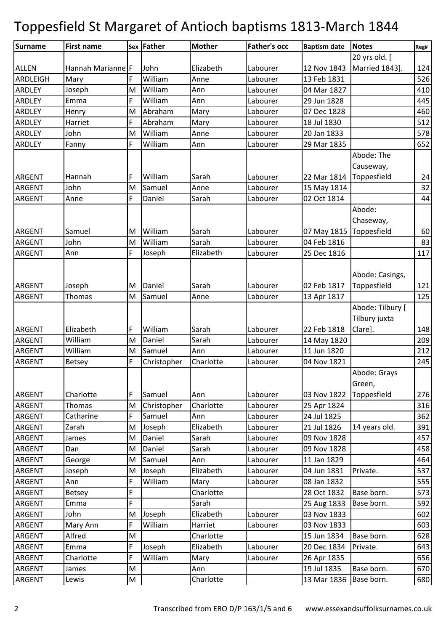| Surname         | <b>First name</b> |   | Sex Father  | <b>Mother</b> | <b>Father's occ</b> | <b>Baptism date</b> | <b>Notes</b>     | Reg# |
|-----------------|-------------------|---|-------------|---------------|---------------------|---------------------|------------------|------|
|                 |                   |   |             |               |                     |                     | 20 yrs old. [    |      |
| <b>ALLEN</b>    | Hannah Marianne F |   | John        | Elizabeth     | Labourer            | 12 Nov 1843         | Married 1843].   | 124  |
| <b>ARDLEIGH</b> | Mary              |   | William     | Anne          | Labourer            | 13 Feb 1831         |                  | 526  |
| <b>ARDLEY</b>   | Joseph            | M | William     | Ann           | Labourer            | 04 Mar 1827         |                  | 410  |
| ARDLEY          | Emma              | F | William     | Ann           | Labourer            | 29 Jun 1828         |                  | 445  |
| ARDLEY          | Henry             | M | Abraham     | Mary          | Labourer            | 07 Dec 1828         |                  | 460  |
| <b>ARDLEY</b>   | Harriet           | F | Abraham     | Mary          | Labourer            | 18 Jul 1830         |                  | 512  |
| ARDLEY          | John              | M | William     | Anne          | Labourer            | 20 Jan 1833         |                  | 578  |
| <b>ARDLEY</b>   | Fanny             | F | William     | Ann           | Labourer            | 29 Mar 1835         |                  | 652  |
|                 |                   |   |             |               |                     |                     | Abode: The       |      |
|                 |                   |   |             |               |                     |                     | Causeway,        |      |
| <b>ARGENT</b>   | Hannah            | F | William     | Sarah         | Labourer            | 22 Mar 1814         | Toppesfield      | 24   |
| ARGENT          | John              | M | Samuel      | Anne          | Labourer            | 15 May 1814         |                  | 32   |
| <b>ARGENT</b>   | Anne              | F | Daniel      | Sarah         | Labourer            | 02 Oct 1814         |                  | 44   |
|                 |                   |   |             |               |                     |                     | Abode:           |      |
|                 |                   |   |             |               |                     |                     | Chaseway,        |      |
| <b>ARGENT</b>   | Samuel            | M | William     | Sarah         | Labourer            | 07 May 1815         | Toppesfield      | 60   |
| ARGENT          | John              | M | William     | Sarah         | Labourer            | 04 Feb 1816         |                  | 83   |
| <b>ARGENT</b>   | Ann               | F | Joseph      | Elizabeth     | Labourer            | 25 Dec 1816         |                  | 117  |
|                 |                   |   |             |               |                     |                     |                  |      |
|                 |                   |   |             |               |                     |                     | Abode: Casings,  |      |
| <b>ARGENT</b>   | Joseph            | M | Daniel      | Sarah         | Labourer            | 02 Feb 1817         | Toppesfield      | 121  |
| <b>ARGENT</b>   | Thomas            | M | Samuel      | Anne          | Labourer            | 13 Apr 1817         |                  | 125  |
|                 |                   |   |             |               |                     |                     | Abode: Tilbury [ |      |
|                 |                   |   |             |               |                     |                     | Tilbury juxta    |      |
| <b>ARGENT</b>   | Elizabeth         | F | William     | Sarah         | Labourer            | 22 Feb 1818         | Clare].          | 148  |
| ARGENT          | William           | M | Daniel      | Sarah         | Labourer            | 14 May 1820         |                  | 209  |
| <b>ARGENT</b>   | William           | M | Samuel      | Ann           | Labourer            | 11 Jun 1820         |                  | 212  |
| <b>ARGENT</b>   | <b>Betsey</b>     | F | Christopher | Charlotte     | Labourer            | 04 Nov 1821         |                  | 245  |
|                 |                   |   |             |               |                     |                     | Abode: Grays     |      |
|                 |                   |   |             |               |                     |                     | Green,           |      |
| <b>ARGENT</b>   | Charlotte         | F | Samuel      | Ann           | Labourer            | 03 Nov 1822         | Toppesfield      | 276  |
| <b>ARGENT</b>   | Thomas            | M | Christopher | Charlotte     | Labourer            | 25 Apr 1824         |                  | 316  |
| ARGENT          | Catharine         | F | Samuel      | Ann           | Labourer            | 24 Jul 1825         |                  | 362  |
| ARGENT          | Zarah             | M | Joseph      | Elizabeth     | Labourer            | 21 Jul 1826         | 14 years old.    | 391  |
| ARGENT          | James             | M | Daniel      | Sarah         | Labourer            | 09 Nov 1828         |                  | 457  |
| ARGENT          | Dan               | M | Daniel      | Sarah         | Labourer            | 09 Nov 1828         |                  | 458  |
| ARGENT          | George            | M | Samuel      | Ann           | Labourer            | 11 Jan 1829         |                  | 464  |
| ARGENT          | Joseph            | M | Joseph      | Elizabeth     | Labourer            | 04 Jun 1831         | Private.         | 537  |
| ARGENT          | Ann               | F | William     | Mary          | Labourer            | 08 Jan 1832         |                  | 555  |
| ARGENT          | <b>Betsey</b>     | F |             | Charlotte     |                     | 28 Oct 1832         | Base born.       | 573  |
| ARGENT          | Emma              | F |             | Sarah         |                     | 25 Aug 1833         | Base born.       | 592  |
| ARGENT          | John              | M | Joseph      | Elizabeth     | Labourer            | 03 Nov 1833         |                  | 602  |
| ARGENT          | Mary Ann          | F | William     | Harriet       | Labourer            | 03 Nov 1833         |                  | 603  |
| <b>ARGENT</b>   | Alfred            | M |             | Charlotte     |                     | 15 Jun 1834         | Base born.       | 628  |
| ARGENT          | Emma              | F | Joseph      | Elizabeth     | Labourer            | 20 Dec 1834         | Private.         | 643  |
| ARGENT          | Charlotte         | F | William     | Mary          | Labourer            | 26 Apr 1835         |                  | 656  |
| ARGENT          | James             | M |             | Ann           |                     | 19 Jul 1835         | Base born.       | 670  |
| ARGENT          | Lewis             | M |             | Charlotte     |                     | 13 Mar 1836         | Base born.       | 680  |
|                 |                   |   |             |               |                     |                     |                  |      |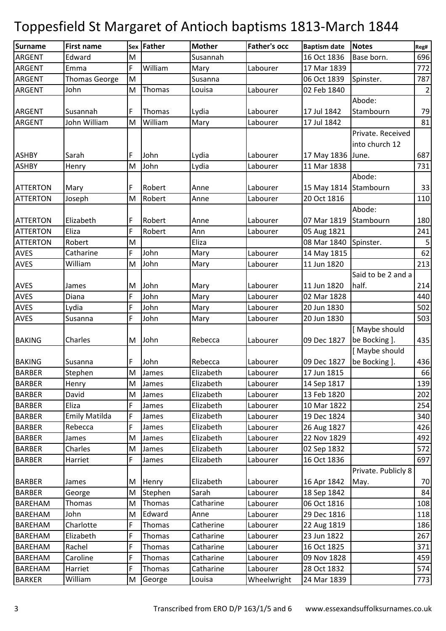| <b>Surname</b>  | <b>First name</b>    |   | Sex Father | <b>Mother</b> | <b>Father's occ</b> | <b>Baptism date</b>   | <b>Notes</b>        | Reg#        |
|-----------------|----------------------|---|------------|---------------|---------------------|-----------------------|---------------------|-------------|
| <b>ARGENT</b>   | Edward               | M |            | Susannah      |                     | 16 Oct 1836           | Base born.          | 696         |
| <b>ARGENT</b>   | Emma                 | F | William    | Mary          | Labourer            | 17 Mar 1839           |                     | 772         |
| <b>ARGENT</b>   | <b>Thomas George</b> | M |            | Susanna       |                     | 06 Oct 1839           | Spinster.           | 787         |
| <b>ARGENT</b>   | John                 | M | Thomas     | Louisa        | Labourer            | 02 Feb 1840           |                     | $\mathbf 2$ |
|                 |                      |   |            |               |                     |                       | Abode:              |             |
| <b>ARGENT</b>   | Susannah             | F | Thomas     | Lydia         | Labourer            | 17 Jul 1842           | Stambourn           | 79          |
| <b>ARGENT</b>   | John William         | M | William    | Mary          | Labourer            | 17 Jul 1842           |                     | 81          |
|                 |                      |   |            |               |                     |                       | Private. Received   |             |
|                 |                      |   |            |               |                     |                       | into church 12      |             |
| <b>ASHBY</b>    | Sarah                | F | John       | Lydia         | Labourer            | 17 May 1836 June.     |                     | 687         |
| <b>ASHBY</b>    | Henry                | M | John       | Lydia         | Labourer            | 11 Mar 1838           |                     | 731         |
|                 |                      |   |            |               |                     |                       | Abode:              |             |
| <b>ATTERTON</b> | Mary                 | F | Robert     | Anne          | Labourer            | 15 May 1814 Stambourn |                     | 33          |
| <b>ATTERTON</b> | Joseph               | M | Robert     | Anne          | Labourer            | 20 Oct 1816           |                     | 110         |
|                 |                      |   |            |               |                     |                       | Abode:              |             |
| <b>ATTERTON</b> | Elizabeth            | F | Robert     | Anne          | Labourer            | 07 Mar 1819           | Stambourn           | 180         |
| <b>ATTERTON</b> | Eliza                | F | Robert     | Ann           | Labourer            | 05 Aug 1821           |                     | 241         |
| <b>ATTERTON</b> | Robert               | M |            | Eliza         |                     | 08 Mar 1840           | Spinster.           | $\mathsf S$ |
| <b>AVES</b>     | Catharine            | F | John       | Mary          | Labourer            | 14 May 1815           |                     | 62          |
| <b>AVES</b>     | William              | M | John       | Mary          | Labourer            | 11 Jun 1820           |                     | 213         |
|                 |                      |   |            |               |                     |                       | Said to be 2 and a  |             |
| <b>AVES</b>     | James                | M | John       | Mary          | Labourer            | 11 Jun 1820           | half.               | 214         |
| <b>AVES</b>     | Diana                | F | John       | Mary          | Labourer            | 02 Mar 1828           |                     | 440         |
| <b>AVES</b>     | Lydia                | F | John       | Mary          | Labourer            | 20 Jun 1830           |                     | 502         |
| <b>AVES</b>     | Susanna              | F | John       | Mary          | Labourer            | 20 Jun 1830           |                     | 503         |
|                 |                      |   |            |               |                     |                       | [Maybe should       |             |
| <b>BAKING</b>   | Charles              | M | John       | Rebecca       | Labourer            | 09 Dec 1827           | be Bocking ].       | 435         |
|                 |                      |   |            |               |                     |                       | [Maybe should       |             |
| <b>BAKING</b>   | Susanna              | F | John       | Rebecca       | Labourer            | 09 Dec 1827           | be Bocking ].       | 436         |
| <b>BARBER</b>   | Stephen              | M | James      | Elizabeth     | Labourer            | 17 Jun 1815           |                     | 66          |
| <b>BARBER</b>   | Henry                | M | James      | Elizabeth     | Labourer            | 14 Sep 1817           |                     | 139         |
| <b>BARBER</b>   | David                | M | James      | Elizabeth     | Labourer            | 13 Feb 1820           |                     | 202         |
| <b>BARBER</b>   | Eliza                | F | James      | Elizabeth     | Labourer            | 10 Mar 1822           |                     | 254         |
| <b>BARBER</b>   | <b>Emily Matilda</b> | F | James      | Elizabeth     | Labourer            | 19 Dec 1824           |                     | 340         |
| <b>BARBER</b>   | Rebecca              | F | James      | Elizabeth     | Labourer            | 26 Aug 1827           |                     | 426         |
| <b>BARBER</b>   | James                | M | James      | Elizabeth     | Labourer            | 22 Nov 1829           |                     | 492         |
| <b>BARBER</b>   | Charles              | M | James      | Elizabeth     | Labourer            | 02 Sep 1832           |                     | 572         |
| <b>BARBER</b>   | Harriet              | F | James      | Elizabeth     | Labourer            | 16 Oct 1836           |                     | 697         |
|                 |                      |   |            |               |                     |                       | Private. Publicly 8 |             |
| <b>BARBER</b>   | James                | M | Henry      | Elizabeth     | Labourer            | 16 Apr 1842           | May.                | 70          |
| <b>BARBER</b>   | George               | M | Stephen    | Sarah         | Labourer            | 18 Sep 1842           |                     | 84          |
| <b>BAREHAM</b>  | Thomas               | M | Thomas     | Catharine     | Labourer            | 06 Oct 1816           |                     | 108         |
| <b>BAREHAM</b>  | John                 | M | Edward     | Anne          | Labourer            | 29 Dec 1816           |                     | 118         |
| <b>BAREHAM</b>  | Charlotte            | F | Thomas     | Catherine     | Labourer            | 22 Aug 1819           |                     | 186         |
| <b>BAREHAM</b>  | Elizabeth            | F | Thomas     | Catharine     | Labourer            | 23 Jun 1822           |                     | 267         |
| <b>BAREHAM</b>  | Rachel               | F | Thomas     | Catharine     | Labourer            | 16 Oct 1825           |                     | 371         |
| <b>BAREHAM</b>  | Caroline             | F | Thomas     | Catharine     | Labourer            | 09 Nov 1828           |                     | 459         |
| <b>BAREHAM</b>  | Harriet              | F | Thomas     | Catharine     | Labourer            | 28 Oct 1832           |                     | 574         |
| <b>BARKER</b>   | William              | M | George     | Louisa        | Wheelwright         | 24 Mar 1839           |                     | 773         |
|                 |                      |   |            |               |                     |                       |                     |             |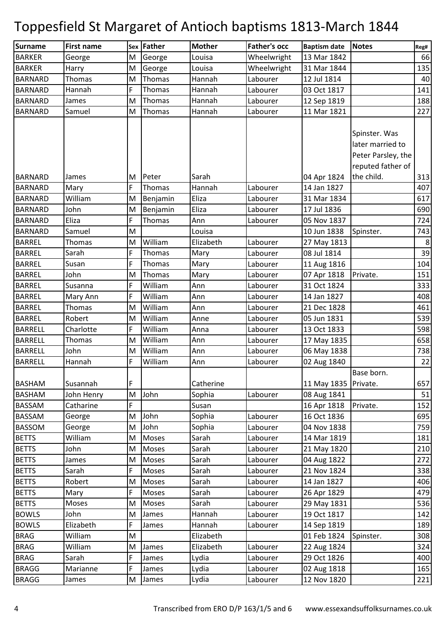| Surname        | <b>First name</b> |   | Sex Father | <b>Mother</b> | <b>Father's occ</b> | <b>Baptism date</b>    | <b>Notes</b>       | Reg# |
|----------------|-------------------|---|------------|---------------|---------------------|------------------------|--------------------|------|
| <b>BARKER</b>  | George            | M | George     | Louisa        | Wheelwright         | 13 Mar 1842            |                    | 66   |
| <b>BARKER</b>  | Harry             | M | George     | Louisa        | Wheelwright         | 31 Mar 1844            |                    | 135  |
| <b>BARNARD</b> | Thomas            | M | Thomas     | Hannah        | Labourer            | 12 Jul 1814            |                    | 40   |
| <b>BARNARD</b> | Hannah            | F | Thomas     | Hannah        | Labourer            | 03 Oct 1817            |                    | 141  |
| <b>BARNARD</b> | James             | M | Thomas     | Hannah        | Labourer            | 12 Sep 1819            |                    | 188  |
| <b>BARNARD</b> | Samuel            | M | Thomas     | Hannah        | Labourer            | 11 Mar 1821            |                    | 227  |
|                |                   |   |            |               |                     |                        |                    |      |
|                |                   |   |            |               |                     |                        | Spinster. Was      |      |
|                |                   |   |            |               |                     |                        | later married to   |      |
|                |                   |   |            |               |                     |                        | Peter Parsley, the |      |
|                |                   |   |            |               |                     |                        | reputed father of  |      |
| <b>BARNARD</b> | James             | M | Peter      | Sarah         |                     | 04 Apr 1824            | the child.         | 313  |
| <b>BARNARD</b> | Mary              | F | Thomas     | Hannah        | Labourer            | 14 Jan 1827            |                    | 407  |
| <b>BARNARD</b> | William           | M | Benjamin   | Eliza         | Labourer            | 31 Mar 1834            |                    | 617  |
| <b>BARNARD</b> | John              | M | Benjamin   | Eliza         | Labourer            | 17 Jul 1836            |                    | 690  |
| <b>BARNARD</b> | Eliza             | F | Thomas     | Ann           | Labourer            | 05 Nov 1837            |                    | 724  |
| <b>BARNARD</b> | Samuel            | M |            | Louisa        |                     | 10 Jun 1838            | Spinster.          | 743  |
| <b>BARREL</b>  | Thomas            | M | William    | Elizabeth     | Labourer            | 27 May 1813            |                    | 8    |
| <b>BARREL</b>  | Sarah             | F | Thomas     | Mary          | Labourer            | 08 Jul 1814            |                    | 39   |
| <b>BARREL</b>  | Susan             | F | Thomas     | Mary          | Labourer            | 11 Aug 1816            |                    | 104  |
| <b>BARREL</b>  | John              | M | Thomas     | Mary          | Labourer            | 07 Apr 1818            | Private.           | 151  |
| <b>BARREL</b>  | Susanna           | F | William    | Ann           | Labourer            | 31 Oct 1824            |                    | 333  |
| <b>BARREL</b>  | Mary Ann          | F | William    | Ann           | Labourer            | 14 Jan 1827            |                    | 408  |
| <b>BARREL</b>  | Thomas            | M | William    | Ann           | Labourer            | 21 Dec 1828            |                    | 461  |
| <b>BARREL</b>  | Robert            | M | William    | Anne          | Labourer            | 05 Jun 1831            |                    | 539  |
| <b>BARRELL</b> | Charlotte         | F | William    | Anna          | Labourer            | 13 Oct 1833            |                    | 598  |
| <b>BARRELL</b> | Thomas            | M | William    | Ann           | Labourer            | 17 May 1835            |                    | 658  |
| <b>BARRELL</b> | John              | M | William    | Ann           | Labourer            | 06 May 1838            |                    | 738  |
| <b>BARRELL</b> | Hannah            | F | William    | Ann           | Labourer            | 02 Aug 1840            |                    | 22   |
|                |                   |   |            |               |                     |                        | Base born.         |      |
| <b>BASHAM</b>  | Susannah          | F |            | Catherine     |                     | 11 May 1835   Private. |                    | 657  |
| <b>BASHAM</b>  | John Henry        | M | John       | Sophia        | Labourer            | 08 Aug 1841            |                    | 51   |
| BASSAM         | Catharine         | F |            | Susan         |                     | 16 Apr 1818            | Private.           | 152  |
| <b>BASSAM</b>  | George            | M | John       | Sophia        | Labourer            | 16 Oct 1836            |                    | 695  |
| <b>BASSOM</b>  | George            | M | John       | Sophia        | Labourer            | 04 Nov 1838            |                    | 759  |
| <b>BETTS</b>   | William           | M | Moses      | Sarah         | Labourer            | 14 Mar 1819            |                    | 181  |
| <b>BETTS</b>   | John              | M | Moses      | Sarah         | Labourer            | 21 May 1820            |                    | 210  |
| <b>BETTS</b>   | James             | M | Moses      | Sarah         | Labourer            | 04 Aug 1822            |                    | 272  |
| <b>BETTS</b>   | Sarah             | F | Moses      | Sarah         | Labourer            | 21 Nov 1824            |                    | 338  |
| <b>BETTS</b>   | Robert            | M | Moses      | Sarah         | Labourer            | 14 Jan 1827            |                    | 406  |
| <b>BETTS</b>   | Mary              | F | Moses      | Sarah         | Labourer            | 26 Apr 1829            |                    | 479  |
| <b>BETTS</b>   | Moses             | M | Moses      | Sarah         | Labourer            | 29 May 1831            |                    | 536  |
| <b>BOWLS</b>   | John              | M | James      | Hannah        | Labourer            | 19 Oct 1817            |                    | 142  |
| <b>BOWLS</b>   | Elizabeth         | F | James      | Hannah        | Labourer            | 14 Sep 1819            |                    | 189  |
| <b>BRAG</b>    | William           | M |            | Elizabeth     |                     | 01 Feb 1824            | Spinster.          | 308  |
| <b>BRAG</b>    | William           | M | James      | Elizabeth     | Labourer            | 22 Aug 1824            |                    | 324  |
| <b>BRAG</b>    | Sarah             | F | James      | Lydia         | Labourer            | 29 Oct 1826            |                    | 400  |
| <b>BRAGG</b>   | Marianne          | F | James      | Lydia         | Labourer            | 02 Aug 1818            |                    | 165  |
| <b>BRAGG</b>   | James             | M | James      | Lydia         | Labourer            | 12 Nov 1820            |                    | 221  |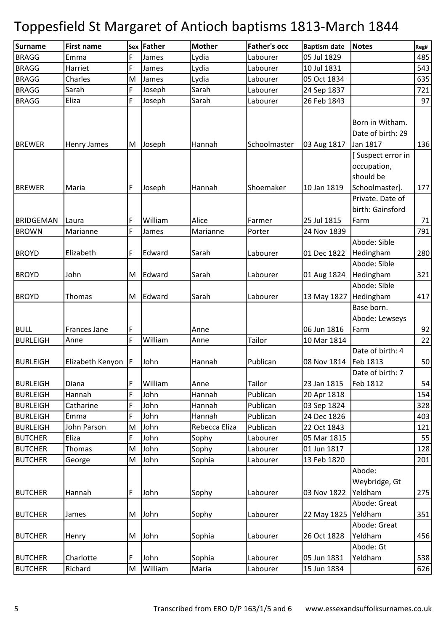| <b>Surname</b>   | <b>First name</b>   | Sex | Father  | <b>Mother</b> | <b>Father's occ</b> | <b>Baptism date</b> | <b>Notes</b>                                     | Reg# |
|------------------|---------------------|-----|---------|---------------|---------------------|---------------------|--------------------------------------------------|------|
| <b>BRAGG</b>     | Emma                | F   | James   | Lydia         | Labourer            | 05 Jul 1829         |                                                  | 485  |
| <b>BRAGG</b>     | Harriet             | F   | James   | Lydia         | Labourer            | 10 Jul 1831         |                                                  | 543  |
| <b>BRAGG</b>     | Charles             | M   | James   | Lydia         | Labourer            | 05 Oct 1834         |                                                  | 635  |
| <b>BRAGG</b>     | Sarah               | F   | Joseph  | Sarah         | Labourer            | 24 Sep 1837         |                                                  | 721  |
| <b>BRAGG</b>     | Eliza               | F   | Joseph  | Sarah         | Labourer            | 26 Feb 1843         |                                                  | 97   |
| <b>BREWER</b>    | <b>Henry James</b>  | M   | Joseph  | Hannah        | Schoolmaster        | 03 Aug 1817         | Born in Witham.<br>Date of birth: 29<br>Jan 1817 | 136  |
|                  |                     |     |         |               |                     |                     | [Suspect error in<br>occupation,<br>should be    |      |
| <b>BREWER</b>    | Maria               | F.  | Joseph  | Hannah        | Shoemaker           | 10 Jan 1819         | Schoolmaster].                                   | 177  |
| <b>BRIDGEMAN</b> | Laura               | F   | William | Alice         | Farmer              | 25 Jul 1815         | Private. Date of<br>birth: Gainsford<br>Farm     | 71   |
| <b>BROWN</b>     | Marianne            | F   | James   | Marianne      | Porter              | 24 Nov 1839         |                                                  | 791  |
| <b>BROYD</b>     | Elizabeth           | F   | Edward  | Sarah         | Labourer            | 01 Dec 1822         | Abode: Sible<br>Hedingham<br>Abode: Sible        | 280  |
| <b>BROYD</b>     | John                | M   | Edward  | Sarah         | Labourer            | 01 Aug 1824         | Hedingham<br>Abode: Sible                        | 321  |
| <b>BROYD</b>     | Thomas              | M   | Edward  | Sarah         | Labourer            | 13 May 1827         | Hedingham<br>Base born.                          | 417  |
| <b>BULL</b>      | <b>Frances Jane</b> | F   |         | Anne          |                     | 06 Jun 1816         | Abode: Lewseys<br>Farm                           | 92   |
| <b>BURLEIGH</b>  | Anne                | F   | William | Anne          | Tailor              | 10 Mar 1814         |                                                  | 22   |
| <b>BURLEIGH</b>  | Elizabeth Kenyon    | F   | John    | Hannah        | Publican            | 08 Nov 1814         | Date of birth: 4<br>Feb 1813<br>Date of birth: 7 | 50   |
| <b>BURLEIGH</b>  | Diana               | F   | William | Anne          | <b>Tailor</b>       | 23 Jan 1815         | Feb 1812                                         | 54   |
| <b>BURLEIGH</b>  | Hannah              | F   | John    | Hannah        | Publican            | 20 Apr 1818         |                                                  | 154  |
| <b>BURLEIGH</b>  | Catharine           | F   | John    | Hannah        | Publican            | 03 Sep 1824         |                                                  | 328  |
| <b>BURLEIGH</b>  | Emma                | F   | John    | Hannah        | Publican            | 24 Dec 1826         |                                                  | 403  |
| <b>BURLEIGH</b>  | John Parson         | M   | John    | Rebecca Eliza | Publican            | 22 Oct 1843         |                                                  | 121  |
| <b>BUTCHER</b>   | Eliza               | F   | John    | Sophy         | Labourer            | 05 Mar 1815         |                                                  | 55   |
| <b>BUTCHER</b>   | Thomas              | M   | John    | Sophy         | Labourer            | 01 Jun 1817         |                                                  | 128  |
| <b>BUTCHER</b>   | George              | M   | John    | Sophia        | Labourer            | 13 Feb 1820         |                                                  | 201  |
|                  |                     |     |         |               |                     |                     | Abode:<br>Weybridge, Gt                          |      |
| <b>BUTCHER</b>   | Hannah              | F   | John    | Sophy         | Labourer            | 03 Nov 1822         | Yeldham                                          | 275  |
|                  |                     |     |         |               |                     |                     | Abode: Great                                     |      |
| <b>BUTCHER</b>   | James               | M   | John    | Sophy         | Labourer            | 22 May 1825 Yeldham |                                                  | 351  |
|                  |                     |     | John    | Sophia        |                     | 26 Oct 1828         | Abode: Great<br>Yeldham                          | 456  |
| <b>BUTCHER</b>   | Henry               | M   |         |               | Labourer            |                     | Abode: Gt                                        |      |
| <b>BUTCHER</b>   | Charlotte           | F   | John    | Sophia        | Labourer            | 05 Jun 1831         | Yeldham                                          | 538  |
| <b>BUTCHER</b>   | Richard             | M   | William | Maria         | Labourer            | 15 Jun 1834         |                                                  | 626  |
|                  |                     |     |         |               |                     |                     |                                                  |      |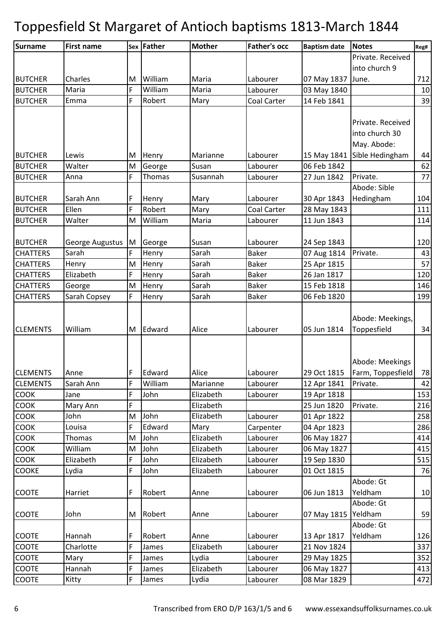| <b>Surname</b>  | <b>First name</b>        |   | Sex Father | <b>Mother</b> | <b>Father's occ</b>   | <b>Baptism date</b> | <b>Notes</b>                | Reg#     |
|-----------------|--------------------------|---|------------|---------------|-----------------------|---------------------|-----------------------------|----------|
|                 |                          |   |            |               |                       |                     | Private. Received           |          |
|                 |                          |   |            |               |                       |                     | into church 9               |          |
| <b>BUTCHER</b>  | Charles                  | M | William    | Maria         | Labourer              | 07 May 1837         | June.                       | 712      |
| <b>BUTCHER</b>  | Maria                    | F | William    | Maria         | Labourer              | 03 May 1840         |                             | 10       |
| <b>BUTCHER</b>  | Emma                     | F | Robert     | Mary          | Coal Carter           | 14 Feb 1841         |                             | 39       |
|                 |                          |   |            |               |                       |                     |                             |          |
|                 |                          |   |            |               |                       |                     | Private. Received           |          |
|                 |                          |   |            |               |                       |                     | into church 30              |          |
|                 |                          |   |            |               |                       |                     | May. Abode:                 |          |
| <b>BUTCHER</b>  | Lewis                    | M | Henry      | Marianne      | Labourer              |                     | 15 May 1841 Sible Hedingham | 44       |
| <b>BUTCHER</b>  | Walter                   | M | George     | Susan         | Labourer              | 06 Feb 1842         |                             | 62       |
| <b>BUTCHER</b>  | Anna                     | F | Thomas     | Susannah      | Labourer              | 27 Jun 1842         | Private.                    | 77       |
|                 |                          |   |            |               |                       |                     | Abode: Sible                |          |
| <b>BUTCHER</b>  | Sarah Ann                | F | Henry      | Mary          | Labourer              | 30 Apr 1843         | Hedingham                   | 104      |
| <b>BUTCHER</b>  | Ellen                    | F | Robert     | Mary          | Coal Carter           | 28 May 1843         |                             | 111      |
| <b>BUTCHER</b>  | Walter                   | M | William    | Maria         | Labourer              | 11 Jun 1843         |                             | 114      |
|                 |                          |   |            |               |                       |                     |                             |          |
| <b>BUTCHER</b>  | George Augustus<br>Sarah | M | George     | Susan         | Labourer              | 24 Sep 1843         |                             | 120      |
| <b>CHATTERS</b> |                          | F | Henry      | Sarah         | <b>Baker</b><br>Baker | 07 Aug 1814         | Private.                    | 43<br>57 |
| <b>CHATTERS</b> | Henry                    | M | Henry      | Sarah         |                       | 25 Apr 1815         |                             |          |
| <b>CHATTERS</b> | Elizabeth                | F | Henry      | Sarah         | Baker<br><b>Baker</b> | 26 Jan 1817         |                             | 120      |
| <b>CHATTERS</b> | George                   | M | Henry      | Sarah         |                       | 15 Feb 1818         |                             | 146      |
| <b>CHATTERS</b> | Sarah Copsey             | F | Henry      | Sarah         | <b>Baker</b>          | 06 Feb 1820         |                             | 199      |
|                 |                          |   |            |               |                       |                     | Abode: Meekings,            |          |
| <b>CLEMENTS</b> | William                  | M | Edward     | Alice         | Labourer              | 05 Jun 1814         | Toppesfield                 | 34       |
|                 |                          |   |            |               |                       |                     |                             |          |
|                 |                          |   |            |               |                       |                     |                             |          |
|                 |                          |   |            |               |                       |                     | Abode: Meekings             |          |
| <b>CLEMENTS</b> | Anne                     | F | Edward     | Alice         | Labourer              | 29 Oct 1815         | Farm, Toppesfield           | 78       |
| <b>CLEMENTS</b> | Sarah Ann                | F | William    | Marianne      | Labourer              | 12 Apr 1841         | Private.                    | 42       |
| <b>COOK</b>     | Jane                     | F | John       | Elizabeth     | Labourer              | 19 Apr 1818         |                             | 153      |
| COOK            | Mary Ann                 | F |            | Elizabeth     |                       | 25 Jun 1820         | Private.                    | 216      |
| COOK            | John                     | M | John       | Elizabeth     | Labourer              | 01 Apr 1822         |                             | 258      |
| COOK            | Louisa                   | F | Edward     | Mary          | Carpenter             | 04 Apr 1823         |                             | 286      |
| <b>COOK</b>     | Thomas                   | M | John       | Elizabeth     | Labourer              | 06 May 1827         |                             | 414      |
| COOK            | William                  | M | John       | Elizabeth     | Labourer              | 06 May 1827         |                             | 415      |
| <b>COOK</b>     | Elizabeth                | F | John       | Elizabeth     | Labourer              | 19 Sep 1830         |                             | 515      |
| <b>COOKE</b>    | Lydia                    | F | John       | Elizabeth     | Labourer              | 01 Oct 1815         |                             | 76       |
|                 |                          |   |            |               |                       |                     | Abode: Gt                   |          |
| <b>COOTE</b>    | Harriet                  | F | Robert     | Anne          | Labourer              | 06 Jun 1813         | Yeldham                     | 10       |
|                 |                          |   |            |               |                       |                     | Abode: Gt                   |          |
| <b>COOTE</b>    | John                     | M | Robert     | Anne          | Labourer              | 07 May 1815 Yeldham |                             | 59       |
|                 |                          |   |            |               |                       |                     | Abode: Gt                   |          |
| <b>COOTE</b>    | Hannah                   | F | Robert     | Anne          | Labourer              | 13 Apr 1817         | Yeldham                     | 126      |
| <b>COOTE</b>    | Charlotte                | F | James      | Elizabeth     | Labourer              | 21 Nov 1824         |                             | 337      |
| COOTE           | Mary                     | F | James      | Lydia         | Labourer              | 29 May 1825         |                             | 352      |
| <b>COOTE</b>    | Hannah                   | F | James      | Elizabeth     | Labourer              | 06 May 1827         |                             | 413      |
| <b>COOTE</b>    | Kitty                    | F | James      | Lydia         | Labourer              | 08 Mar 1829         |                             | 472      |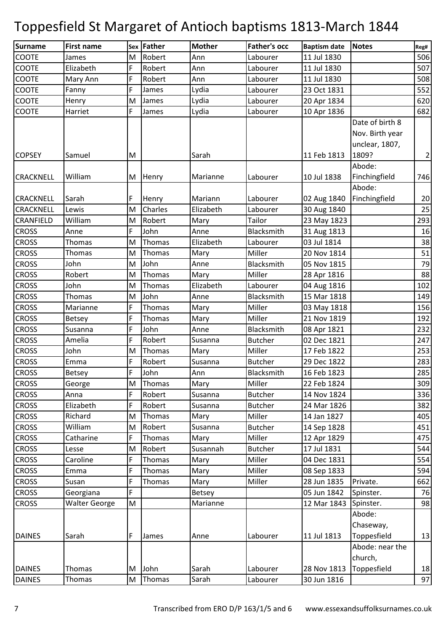| Surname          | <b>First name</b>    |   | Sex Father    | <b>Mother</b> | <b>Father's occ</b> | <b>Baptism date</b> | Notes           | Reg#           |
|------------------|----------------------|---|---------------|---------------|---------------------|---------------------|-----------------|----------------|
| <b>COOTE</b>     | James                | M | Robert        | Ann           | Labourer            | 11 Jul 1830         |                 | 506            |
| <b>COOTE</b>     | Elizabeth            | F | Robert        | Ann           | Labourer            | 11 Jul 1830         |                 | 507            |
| COOTE            | Mary Ann             | F | Robert        | Ann           | Labourer            | 11 Jul 1830         |                 | 508            |
| COOTE            | Fanny                | F | James         | Lydia         | Labourer            | 23 Oct 1831         |                 | 552            |
| COOTE            | Henry                | M | James         | Lydia         | Labourer            | 20 Apr 1834         |                 | 620            |
| COOTE            | Harriet              | F | James         | Lydia         | Labourer            | 10 Apr 1836         |                 | 682            |
|                  |                      |   |               |               |                     |                     | Date of birth 8 |                |
|                  |                      |   |               |               |                     |                     | Nov. Birth year |                |
|                  |                      |   |               |               |                     |                     | unclear, 1807,  |                |
| <b>COPSEY</b>    | Samuel               | M |               | Sarah         |                     | 11 Feb 1813         | 1809?           | $\overline{2}$ |
|                  |                      |   |               |               |                     |                     | Abode:          |                |
| <b>CRACKNELL</b> | William              | M | Henry         | Marianne      | Labourer            | 10 Jul 1838         | Finchingfield   | 746            |
|                  |                      |   |               |               |                     |                     | Abode:          |                |
| <b>CRACKNELL</b> | Sarah                | F | Henry         | Mariann       | Labourer            | 02 Aug 1840         | Finchingfield   | 20             |
| <b>CRACKNELL</b> | Lewis                | M | Charles       | Elizabeth     | Labourer            | 30 Aug 1840         |                 | 25             |
| CRANFIELD        | William              | M | Robert        | Mary          | Tailor              | 23 May 1823         |                 | 293            |
| <b>CROSS</b>     | Anne                 | F | John          | Anne          | <b>Blacksmith</b>   | 31 Aug 1813         |                 | 16             |
| <b>CROSS</b>     | Thomas               | M | Thomas        | Elizabeth     | Labourer            | 03 Jul 1814         |                 | 38             |
| <b>CROSS</b>     | Thomas               | M | Thomas        | Mary          | Miller              | 20 Nov 1814         |                 | 51             |
| <b>CROSS</b>     | John                 | M | John          | Anne          | Blacksmith          | 05 Nov 1815         |                 | 79             |
| <b>CROSS</b>     | Robert               | M | Thomas        | Mary          | Miller              | 28 Apr 1816         |                 | 88             |
| <b>CROSS</b>     | John                 | M | Thomas        | Elizabeth     | Labourer            | 04 Aug 1816         |                 | 102            |
| <b>CROSS</b>     | Thomas               | M | John          | Anne          | Blacksmith          | 15 Mar 1818         |                 | 149            |
| <b>CROSS</b>     | Marianne             | F | Thomas        | Mary          | Miller              | 03 May 1818         |                 | 156            |
| <b>CROSS</b>     | Betsey               | F | Thomas        | Mary          | Miller              | 21 Nov 1819         |                 | 192            |
| <b>CROSS</b>     | Susanna              | F | John          | Anne          | Blacksmith          | 08 Apr 1821         |                 | 232            |
| <b>CROSS</b>     | Amelia               | F | Robert        | Susanna       | <b>Butcher</b>      | 02 Dec 1821         |                 | 247            |
| <b>CROSS</b>     | John                 | M | Thomas        | Mary          | Miller              | 17 Feb 1822         |                 | 253            |
| <b>CROSS</b>     | Emma                 | F | Robert        | Susanna       | <b>Butcher</b>      | 29 Dec 1822         |                 | 283            |
| <b>CROSS</b>     | <b>Betsey</b>        | F | John          | Ann           | Blacksmith          | 16 Feb 1823         |                 | 285            |
| <b>CROSS</b>     | George               | M | Thomas        | Mary          | Miller              | 22 Feb 1824         |                 | 309            |
| <b>CROSS</b>     | Anna                 | F | Robert        | Susanna       | <b>Butcher</b>      | 14 Nov 1824         |                 | 336            |
| <b>CROSS</b>     | Elizabeth            | F | Robert        | Susanna       | <b>Butcher</b>      | 24 Mar 1826         |                 | 382            |
| <b>CROSS</b>     | Richard              | M | Thomas        | Mary          | Miller              | 14 Jan 1827         |                 | 405            |
| <b>CROSS</b>     | William              | M | Robert        | Susanna       | <b>Butcher</b>      | 14 Sep 1828         |                 | 451            |
| <b>CROSS</b>     | Catharine            | F | Thomas        | Mary          | Miller              | 12 Apr 1829         |                 | 475            |
| <b>CROSS</b>     | Lesse                | M | Robert        | Susannah      | <b>Butcher</b>      | 17 Jul 1831         |                 | 544            |
| <b>CROSS</b>     | Caroline             | F | Thomas        | Mary          | Miller              | 04 Dec 1831         |                 | 554            |
| <b>CROSS</b>     | Emma                 | F | Thomas        | Mary          | Miller              | 08 Sep 1833         |                 | 594            |
| <b>CROSS</b>     | Susan                | F | Thomas        | Mary          | Miller              | 28 Jun 1835         | Private.        | 662            |
| <b>CROSS</b>     | Georgiana            | F |               | <b>Betsey</b> |                     | 05 Jun 1842         | Spinster.       | 76             |
| <b>CROSS</b>     | <b>Walter George</b> | M |               | Marianne      |                     | 12 Mar 1843         | Spinster.       | 98             |
|                  |                      |   |               |               |                     |                     | Abode:          |                |
|                  |                      |   |               |               |                     |                     | Chaseway,       |                |
| <b>DAINES</b>    | Sarah                | F | James         | Anne          | Labourer            | 11 Jul 1813         | Toppesfield     | 13             |
|                  |                      |   |               |               |                     |                     | Abode: near the |                |
|                  |                      |   |               |               |                     |                     | church,         |                |
| <b>DAINES</b>    | Thomas               | M | John          | Sarah         | Labourer            | 28 Nov 1813         | Toppesfield     | 18             |
| <b>DAINES</b>    | Thomas               | M | <b>Thomas</b> | Sarah         | Labourer            | 30 Jun 1816         |                 | 97             |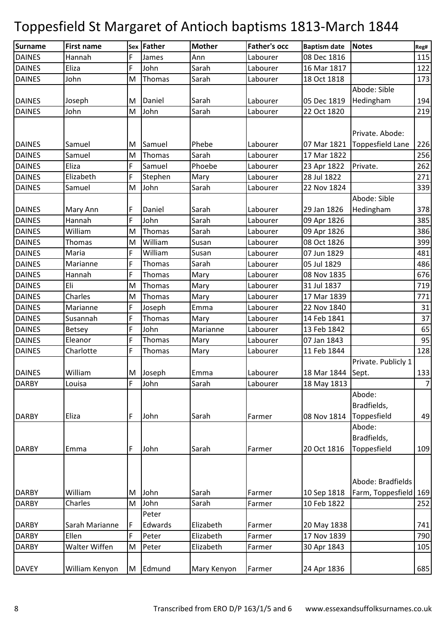| Surname       | <b>First name</b> |   | Sex Father | <b>Mother</b> | <b>Father's occ</b> | <b>Baptism date</b> | <b>Notes</b>                   | Reg#           |
|---------------|-------------------|---|------------|---------------|---------------------|---------------------|--------------------------------|----------------|
| <b>DAINES</b> | Hannah            | F | James      | Ann           | Labourer            | 08 Dec 1816         |                                | 115            |
| <b>DAINES</b> | Eliza             | F | John       | Sarah         | Labourer            | 16 Mar 1817         |                                | 122            |
| <b>DAINES</b> | John              | M | Thomas     | Sarah         | Labourer            | 18 Oct 1818         |                                | 173            |
|               |                   |   |            |               |                     |                     | Abode: Sible                   |                |
| <b>DAINES</b> | Joseph            | M | Daniel     | Sarah         | Labourer            | 05 Dec 1819         | Hedingham                      | 194            |
| <b>DAINES</b> | John              | M | John       | Sarah         | Labourer            | 22 Oct 1820         |                                | 219            |
|               |                   |   |            |               |                     |                     |                                |                |
|               |                   |   |            |               |                     |                     | Private. Abode:                |                |
| <b>DAINES</b> | Samuel            | M | Samuel     | Phebe         | Labourer            |                     | 07 Mar 1821   Toppesfield Lane | 226            |
| <b>DAINES</b> | Samuel            | M | Thomas     | Sarah         | Labourer            | 17 Mar 1822         |                                | 256            |
| <b>DAINES</b> | Eliza             | F | Samuel     | Phoebe        | Labourer            | 23 Apr 1822         | Private.                       | 262            |
| <b>DAINES</b> | Elizabeth         | Ë | Stephen    | Mary          | Labourer            | 28 Jul 1822         |                                | 271            |
| <b>DAINES</b> | Samuel            | M | John       | Sarah         | Labourer            | 22 Nov 1824         |                                | 339            |
|               |                   |   |            |               |                     |                     | Abode: Sible                   |                |
| <b>DAINES</b> | Mary Ann          | F | Daniel     | Sarah         | Labourer            | 29 Jan 1826         | Hedingham                      | 378            |
| <b>DAINES</b> | Hannah            | F | John       | Sarah         | Labourer            | 09 Apr 1826         |                                | 385            |
| <b>DAINES</b> | William           | M | Thomas     | Sarah         | Labourer            | 09 Apr 1826         |                                | 386            |
| <b>DAINES</b> | Thomas            | M | William    | Susan         | Labourer            | 08 Oct 1826         |                                | 399            |
| <b>DAINES</b> | Maria             | F | William    | Susan         | Labourer            | 07 Jun 1829         |                                | 481            |
| <b>DAINES</b> | Marianne          | F | Thomas     | Sarah         | Labourer            | 05 Jul 1829         |                                | 486            |
| <b>DAINES</b> | Hannah            | F | Thomas     | Mary          | Labourer            | 08 Nov 1835         |                                | 676            |
| <b>DAINES</b> | Eli               | M | Thomas     | Mary          | Labourer            | 31 Jul 1837         |                                | 719            |
| <b>DAINES</b> | Charles           | M | Thomas     | Mary          | Labourer            | 17 Mar 1839         |                                | 771            |
| <b>DAINES</b> | Marianne          | F | Joseph     | Emma          | Labourer            | 22 Nov 1840         |                                | 31             |
| <b>DAINES</b> | Susannah          | F | Thomas     | Mary          | Labourer            | 14 Feb 1841         |                                | 37             |
| <b>DAINES</b> | Betsey            | F | John       | Marianne      | Labourer            | 13 Feb 1842         |                                | 65             |
| <b>DAINES</b> | Eleanor           | F | Thomas     | Mary          | Labourer            | 07 Jan 1843         |                                | 95             |
| <b>DAINES</b> | Charlotte         | F | Thomas     | Mary          | Labourer            | 11 Feb 1844         |                                | 128            |
|               |                   |   |            |               |                     |                     | Private. Publicly 1            |                |
| <b>DAINES</b> | William           |   | M Joseph   | Emma          | Labourer            | 18 Mar 1844 Sept.   |                                | 133            |
| <b>DARBY</b>  | Louisa            | F | John       | Sarah         | Labourer            | 18 May 1813         |                                | $\overline{7}$ |
|               |                   |   |            |               |                     |                     | Abode:                         |                |
|               |                   |   |            |               |                     |                     | Bradfields,                    |                |
| <b>DARBY</b>  | Eliza             | F | John       | Sarah         | Farmer              | 08 Nov 1814         | Toppesfield                    | 49             |
|               |                   |   |            |               |                     |                     | Abode:                         |                |
|               |                   |   |            |               |                     |                     | Bradfields,                    |                |
| <b>DARBY</b>  | Emma              | F | John       | Sarah         | Farmer              | 20 Oct 1816         | Toppesfield                    | 109            |
|               |                   |   |            |               |                     |                     |                                |                |
|               |                   |   |            |               |                     |                     |                                |                |
|               |                   |   |            |               |                     |                     | Abode: Bradfields              |                |
| <b>DARBY</b>  | William           | M | John       | Sarah         | Farmer              | 10 Sep 1818         | Farm, Toppesfield 169          |                |
| <b>DARBY</b>  | Charles           | M | John       | Sarah         | Farmer              | 10 Feb 1822         |                                | 252            |
|               |                   |   | Peter      |               |                     |                     |                                |                |
| <b>DARBY</b>  | Sarah Marianne    | F | Edwards    | Elizabeth     | Farmer              | 20 May 1838         |                                | 741            |
| <b>DARBY</b>  | Ellen             | F | Peter      | Elizabeth     | Farmer              | 17 Nov 1839         |                                | 790            |
| <b>DARBY</b>  | Walter Wiffen     | M | Peter      | Elizabeth     | Farmer              | 30 Apr 1843         |                                | 105            |
|               |                   |   |            |               |                     |                     |                                |                |
| <b>DAVEY</b>  | William Kenyon    | M | Edmund     | Mary Kenyon   | Farmer              | 24 Apr 1836         |                                | 685            |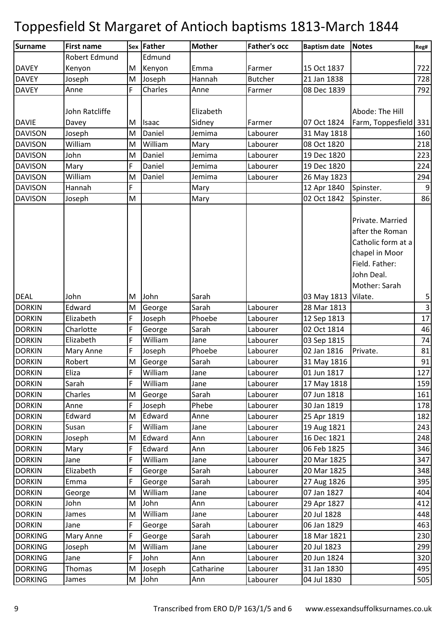| Surname        | <b>First name</b> |    | <b>Sex Father</b> | <b>Mother</b> | <b>Father's occ</b> | <b>Baptism date</b> | <b>Notes</b>          | Reg#           |
|----------------|-------------------|----|-------------------|---------------|---------------------|---------------------|-----------------------|----------------|
|                | Robert Edmund     |    | Edmund            |               |                     |                     |                       |                |
| <b>DAVEY</b>   | Kenyon            | M  | Kenyon            | Emma          | Farmer              | 15 Oct 1837         |                       | 722            |
| <b>DAVEY</b>   | Joseph            | M  | Joseph            | Hannah        | <b>Butcher</b>      | 21 Jan 1838         |                       | 728            |
| <b>DAVEY</b>   | Anne              | F  | Charles           | Anne          | Farmer              | 08 Dec 1839         |                       | 792            |
|                |                   |    |                   |               |                     |                     |                       |                |
|                | John Ratcliffe    |    |                   | Elizabeth     |                     |                     | Abode: The Hill       |                |
| <b>DAVIE</b>   | Davey             | M  | Isaac             | Sidney        | Farmer              | 07 Oct 1824         | Farm, Toppesfield 331 |                |
| <b>DAVISON</b> | Joseph            | M  | Daniel            | Jemima        | Labourer            | 31 May 1818         |                       | 160            |
| <b>DAVISON</b> | William           | M  | William           | Mary          | Labourer            | 08 Oct 1820         |                       | 218            |
| <b>DAVISON</b> | John              | M  | Daniel            | Jemima        | Labourer            | 19 Dec 1820         |                       | 223            |
| <b>DAVISON</b> | Mary              | F  | Daniel            | Jemima        | Labourer            | 19 Dec 1820         |                       | 224            |
| <b>DAVISON</b> | William           | M  | Daniel            | Jemima        | Labourer            | 26 May 1823         |                       | 294            |
| <b>DAVISON</b> | Hannah            | F  |                   | Mary          |                     | 12 Apr 1840         | Spinster.             | $\overline{9}$ |
| <b>DAVISON</b> | Joseph            | M  |                   | Mary          |                     | 02 Oct 1842         | Spinster.             | 86             |
|                |                   |    |                   |               |                     |                     |                       |                |
|                |                   |    |                   |               |                     |                     | Private. Married      |                |
|                |                   |    |                   |               |                     |                     | after the Roman       |                |
|                |                   |    |                   |               |                     |                     | Catholic form at a    |                |
|                |                   |    |                   |               |                     |                     | chapel in Moor        |                |
|                |                   |    |                   |               |                     |                     | Field. Father:        |                |
|                |                   |    |                   |               |                     |                     | John Deal.            |                |
|                |                   |    |                   |               |                     |                     | Mother: Sarah         |                |
| <b>DEAL</b>    | John              | M  | John              | Sarah         |                     | 03 May 1813         | Vilate.               | 5              |
| <b>DORKIN</b>  | Edward            | M  | George            | Sarah         | Labourer            | 28 Mar 1813         |                       | $\overline{3}$ |
| <b>DORKIN</b>  | Elizabeth         | F  | Joseph            | Phoebe        | Labourer            | 12 Sep 1813         |                       | 17             |
| <b>DORKIN</b>  | Charlotte         | F  | George            | Sarah         | Labourer            | 02 Oct 1814         |                       | 46             |
| <b>DORKIN</b>  | Elizabeth         | F  | William           | Jane          | Labourer            | 03 Sep 1815         |                       | 74             |
| <b>DORKIN</b>  | Mary Anne         | F  | Joseph            | Phoebe        | Labourer            | 02 Jan 1816         | Private.              | 81             |
| <b>DORKIN</b>  | Robert            | M  | George            | Sarah         | Labourer            | 31 May 1816         |                       | 91             |
| <b>DORKIN</b>  | Eliza             | F  | William           | Jane          | Labourer            | 01 Jun 1817         |                       | 127            |
| <b>DORKIN</b>  | Sarah             | F  | William           | Jane          | Labourer            | 17 May 1818         |                       | 159            |
| <b>DORKIN</b>  | Charles           | M  | George            | Sarah         | Labourer            | 07 Jun 1818         |                       | 161            |
| <b>DORKIN</b>  | Anne              | F  | Joseph            | Phebe         | Labourer            | 30 Jan 1819         |                       | 178            |
| <b>DORKIN</b>  | Edward            | M  | Edward            | Anne          | Labourer            | 25 Apr 1819         |                       | 182            |
| <b>DORKIN</b>  | Susan             | F. | William           | Jane          | Labourer            | 19 Aug 1821         |                       | 243            |
| <b>DORKIN</b>  | Joseph            | M  | Edward            | Ann           | Labourer            | 16 Dec 1821         |                       | 248            |
| <b>DORKIN</b>  | Mary              | F  | Edward            | Ann           | Labourer            | 06 Feb 1825         |                       | 346            |
| <b>DORKIN</b>  | Jane              | F  | William           | Jane          | Labourer            | 20 Mar 1825         |                       | 347            |
| <b>DORKIN</b>  | Elizabeth         | F  | George            | Sarah         | Labourer            | 20 Mar 1825         |                       | 348            |
| <b>DORKIN</b>  | Emma              | F  | George            | Sarah         | Labourer            | 27 Aug 1826         |                       | 395            |
| <b>DORKIN</b>  | George            | M  | William           | Jane          | Labourer            | 07 Jan 1827         |                       | 404            |
| <b>DORKIN</b>  | John              | M  | John              | Ann           | Labourer            | 29 Apr 1827         |                       | 412            |
| <b>DORKIN</b>  | James             | M  | William           | Jane          | Labourer            | 20 Jul 1828         |                       | 448            |
| <b>DORKIN</b>  | Jane              | F  | George            | Sarah         | Labourer            | 06 Jan 1829         |                       | 463            |
| <b>DORKING</b> | Mary Anne         | F  | George            | Sarah         | Labourer            | 18 Mar 1821         |                       | 230            |
| <b>DORKING</b> | Joseph            | M  | William           | Jane          | Labourer            | 20 Jul 1823         |                       | 299            |
| <b>DORKING</b> | Jane              | F  | John              | Ann           | Labourer            | 20 Jun 1824         |                       | 320            |
| <b>DORKING</b> | Thomas            | M  | Joseph            | Catharine     | Labourer            | 31 Jan 1830         |                       | 495            |
| <b>DORKING</b> | James             | M  | John              | Ann           | Labourer            | 04 Jul 1830         |                       | 505            |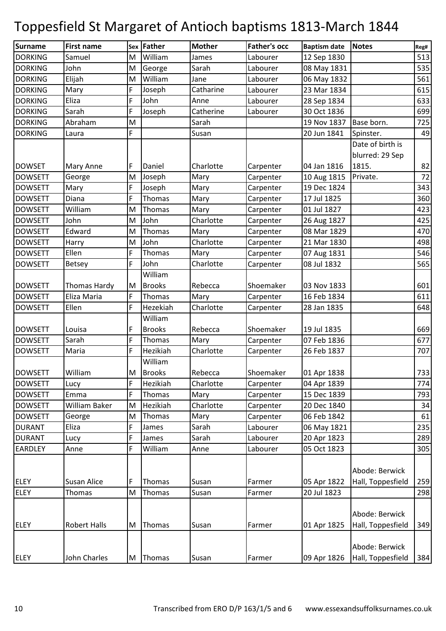| <b>Surname</b> | <b>First name</b>   |    | Sex Father    | <b>Mother</b> | <b>Father's occ</b> | <b>Baptism date</b> | <b>Notes</b>      | Reg# |
|----------------|---------------------|----|---------------|---------------|---------------------|---------------------|-------------------|------|
| <b>DORKING</b> | Samuel              | M  | William       | James         | Labourer            | 12 Sep 1830         |                   | 513  |
| <b>DORKING</b> | John                | M  | George        | Sarah         | Labourer            | 08 May 1831         |                   | 535  |
| <b>DORKING</b> | Elijah              | M  | William       | Jane          | Labourer            | 06 May 1832         |                   | 561  |
| <b>DORKING</b> | Mary                | F  | Joseph        | Catharine     | Labourer            | 23 Mar 1834         |                   | 615  |
| <b>DORKING</b> | Eliza               | F  | John          | Anne          | Labourer            | 28 Sep 1834         |                   | 633  |
| <b>DORKING</b> | Sarah               | F  | Joseph        | Catherine     | Labourer            | 30 Oct 1836         |                   | 699  |
| <b>DORKING</b> | Abraham             | M  |               | Sarah         |                     | 19 Nov 1837         | Base born.        | 725  |
| <b>DORKING</b> | Laura               | E, |               | Susan         |                     | 20 Jun 1841         | Spinster.         | 49   |
|                |                     |    |               |               |                     |                     | Date of birth is  |      |
|                |                     |    |               |               |                     |                     | blurred: 29 Sep   |      |
| <b>DOWSET</b>  | Mary Anne           | F  | Daniel        | Charlotte     | Carpenter           | 04 Jan 1816         | 1815.             | 82   |
| <b>DOWSETT</b> | George              | M  | Joseph        | Mary          | Carpenter           | 10 Aug 1815         | Private.          | 72   |
| <b>DOWSETT</b> | Mary                | F  | Joseph        | Mary          | Carpenter           | 19 Dec 1824         |                   | 343  |
| <b>DOWSETT</b> | Diana               | Ë  | Thomas        | Mary          | Carpenter           | 17 Jul 1825         |                   | 360  |
| <b>DOWSETT</b> | William             | M  | Thomas        | Mary          | Carpenter           | 01 Jul 1827         |                   | 423  |
| <b>DOWSETT</b> | John                | M  | John          | Charlotte     | Carpenter           | 26 Aug 1827         |                   | 425  |
| <b>DOWSETT</b> | Edward              | M  | <b>Thomas</b> | Mary          | Carpenter           | 08 Mar 1829         |                   | 470  |
| <b>DOWSETT</b> | Harry               | M  | John          | Charlotte     | Carpenter           | 21 Mar 1830         |                   | 498  |
| <b>DOWSETT</b> | Ellen               | F  | Thomas        | Mary          | Carpenter           | 07 Aug 1831         |                   | 546  |
| <b>DOWSETT</b> | Betsey              | F  | John          | Charlotte     | Carpenter           | 08 Jul 1832         |                   | 565  |
|                |                     |    | William       |               |                     |                     |                   |      |
| <b>DOWSETT</b> | Thomas Hardy        | M  | <b>Brooks</b> | Rebecca       | Shoemaker           | 03 Nov 1833         |                   | 601  |
| <b>DOWSETT</b> | Eliza Maria         | F  | Thomas        | Mary          | Carpenter           | 16 Feb 1834         |                   | 611  |
| <b>DOWSETT</b> | Ellen               | F  | Hezekiah      | Charlotte     | Carpenter           | 28 Jan 1835         |                   | 648  |
|                |                     |    | William       |               |                     |                     |                   |      |
| <b>DOWSETT</b> | Louisa              | F  | <b>Brooks</b> | Rebecca       | Shoemaker           | 19 Jul 1835         |                   | 669  |
| <b>DOWSETT</b> | Sarah               | F  | Thomas        | Mary          | Carpenter           | 07 Feb 1836         |                   | 677  |
| <b>DOWSETT</b> | Maria               | F  | Hezikiah      | Charlotte     | Carpenter           | 26 Feb 1837         |                   | 707  |
|                |                     |    | William       |               |                     |                     |                   |      |
| <b>DOWSETT</b> | William             |    | M Brooks      | Rebecca       | Shoemaker           | 01 Apr 1838         |                   | 733  |
| <b>DOWSETT</b> | Lucy                | F  | Hezikiah      | Charlotte     | Carpenter           | 04 Apr 1839         |                   | 774  |
| <b>DOWSETT</b> | Emma                | F  | <b>Thomas</b> | Mary          | Carpenter           | 15 Dec 1839         |                   | 793  |
| <b>DOWSETT</b> | William Baker       | M  | Hezikiah      | Charlotte     | Carpenter           | 20 Dec 1840         |                   | 34   |
| <b>DOWSETT</b> | George              | M  | <b>Thomas</b> | Mary          | Carpenter           | 06 Feb 1842         |                   | 61   |
| <b>DURANT</b>  | Eliza               | F  | James         | Sarah         | Labourer            | 06 May 1821         |                   | 235  |
| <b>DURANT</b>  | Lucy                | F  | James         | Sarah         | Labourer            | 20 Apr 1823         |                   | 289  |
| <b>EARDLEY</b> | Anne                | F  | William       | Anne          | Labourer            | 05 Oct 1823         |                   | 305  |
|                |                     |    |               |               |                     |                     |                   |      |
|                |                     |    |               |               |                     |                     | Abode: Berwick    |      |
| <b>ELEY</b>    | Susan Alice         | F  | Thomas        | Susan         | Farmer              | 05 Apr 1822         | Hall, Toppesfield | 259  |
| <b>ELEY</b>    | Thomas              | M  | Thomas        | Susan         | Farmer              | 20 Jul 1823         |                   | 298  |
|                |                     |    |               |               |                     |                     |                   |      |
|                |                     |    |               |               |                     |                     | Abode: Berwick    |      |
| <b>ELEY</b>    | <b>Robert Halls</b> | M  | Thomas        | Susan         | Farmer              | 01 Apr 1825         | Hall, Toppesfield | 349  |
|                |                     |    |               |               |                     |                     |                   |      |
|                |                     |    |               |               |                     |                     | Abode: Berwick    |      |
| <b>ELEY</b>    | John Charles        | M  | Thomas        | Susan         | Farmer              | 09 Apr 1826         | Hall, Toppesfield | 384  |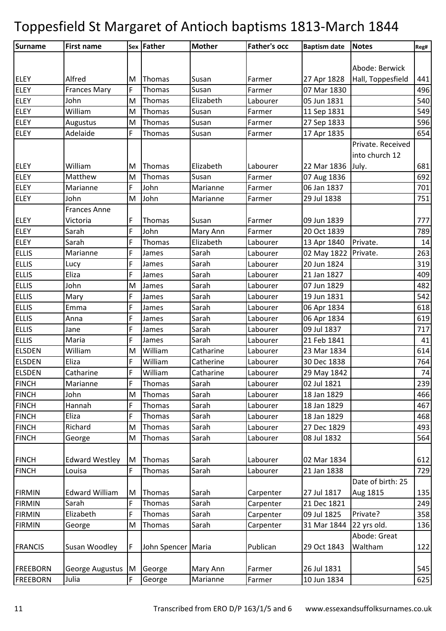| Surname         | <b>First name</b>     |    | Sex Father         | <b>Mother</b> | <b>Father's occ</b> | <b>Baptism date</b> | <b>Notes</b>      | Reg# |
|-----------------|-----------------------|----|--------------------|---------------|---------------------|---------------------|-------------------|------|
|                 |                       |    |                    |               |                     |                     |                   |      |
|                 |                       |    |                    |               |                     |                     | Abode: Berwick    |      |
| <b>ELEY</b>     | Alfred                | M  | Thomas             | Susan         | Farmer              | 27 Apr 1828         | Hall, Toppesfield | 441  |
| <b>ELEY</b>     | <b>Frances Mary</b>   | F. | Thomas             | Susan         | Farmer              | 07 Mar 1830         |                   | 496  |
| <b>ELEY</b>     | John                  | M  | Thomas             | Elizabeth     | Labourer            | 05 Jun 1831         |                   | 540  |
| <b>ELEY</b>     | William               | M  | Thomas             | Susan         | Farmer              | 11 Sep 1831         |                   | 549  |
| <b>ELEY</b>     | Augustus              | M  | Thomas             | Susan         | Farmer              | 27 Sep 1833         |                   | 596  |
| <b>ELEY</b>     | Adelaide              | F  | Thomas             | Susan         | Farmer              | 17 Apr 1835         |                   | 654  |
|                 |                       |    |                    |               |                     |                     | Private. Received |      |
|                 |                       |    |                    |               |                     |                     | into church 12    |      |
| <b>ELEY</b>     | William               | M  | Thomas             | Elizabeth     | Labourer            | 22 Mar 1836         | July.             | 681  |
| <b>ELEY</b>     | Matthew               | M  | Thomas             | Susan         | Farmer              | 07 Aug 1836         |                   | 692  |
| <b>ELEY</b>     | Marianne              | F  | John               | Marianne      | Farmer              | 06 Jan 1837         |                   | 701  |
| <b>ELEY</b>     | John                  | M  | John               | Marianne      | Farmer              | 29 Jul 1838         |                   | 751  |
|                 | <b>Frances Anne</b>   |    |                    |               |                     |                     |                   |      |
| <b>ELEY</b>     | Victoria              | F  | Thomas             | Susan         | Farmer              | 09 Jun 1839         |                   | 777  |
| <b>ELEY</b>     | Sarah                 | F  | John               | Mary Ann      | Farmer              | 20 Oct 1839         |                   | 789  |
| <b>ELEY</b>     | Sarah                 | F  | Thomas             | Elizabeth     | Labourer            | 13 Apr 1840         | Private.          | 14   |
| <b>ELLIS</b>    | Marianne              | F  | James              | Sarah         | Labourer            | 02 May 1822         | Private.          | 263  |
| <b>ELLIS</b>    | Lucy                  | F  | James              | Sarah         | Labourer            | 20 Jun 1824         |                   | 319  |
| <b>ELLIS</b>    | Eliza                 | F  | James              | Sarah         | Labourer            | 21 Jan 1827         |                   | 409  |
| <b>ELLIS</b>    | John                  | M  | James              | Sarah         | Labourer            | 07 Jun 1829         |                   | 482  |
| <b>ELLIS</b>    | Mary                  | F  | James              | Sarah         | Labourer            | 19 Jun 1831         |                   | 542  |
| <b>ELLIS</b>    | Emma                  | F  | James              | Sarah         | Labourer            | 06 Apr 1834         |                   | 618  |
| <b>ELLIS</b>    | Anna                  | F  | James              | Sarah         | Labourer            | 06 Apr 1834         |                   | 619  |
| <b>ELLIS</b>    | Jane                  | F  | James              | Sarah         | Labourer            | 09 Jul 1837         |                   | 717  |
| <b>ELLIS</b>    | Maria                 | F  | James              | Sarah         | Labourer            | 21 Feb 1841         |                   | 41   |
| <b>ELSDEN</b>   | William               | M  | William            | Catharine     | Labourer            | 23 Mar 1834         |                   | 614  |
| <b>ELSDEN</b>   | Eliza                 | F  | William            | Catherine     | Labourer            | 30 Dec 1838         |                   | 764  |
| <b>ELSDEN</b>   | Catharine             | F  | William            | Catharine     | Labourer            | 29 May 1842         |                   | 74   |
| <b>FINCH</b>    | Marianne              | F  | Thomas             | Sarah         | Labourer            | 02 Jul 1821         |                   | 239  |
| <b>FINCH</b>    | John                  | M  | Thomas             | Sarah         | Labourer            | 18 Jan 1829         |                   | 466  |
| <b>FINCH</b>    | Hannah                | F  | Thomas             | Sarah         | Labourer            | 18 Jan 1829         |                   | 467  |
| <b>FINCH</b>    | Eliza                 | F  | Thomas             | Sarah         | Labourer            | 18 Jan 1829         |                   | 468  |
| <b>FINCH</b>    | Richard               | M  | Thomas             | Sarah         | Labourer            | 27 Dec 1829         |                   | 493  |
| <b>FINCH</b>    | George                | M  | Thomas             | Sarah         | Labourer            | 08 Jul 1832         |                   | 564  |
|                 |                       |    |                    |               |                     |                     |                   |      |
| <b>FINCH</b>    | <b>Edward Westley</b> | M  | Thomas             | Sarah         | Labourer            | 02 Mar 1834         |                   | 612  |
| <b>FINCH</b>    | Louisa                | F  | Thomas             | Sarah         | Labourer            | 21 Jan 1838         |                   | 729  |
|                 |                       |    |                    |               |                     |                     | Date of birth: 25 |      |
| <b>FIRMIN</b>   | <b>Edward William</b> | M  | Thomas             | Sarah         | Carpenter           | 27 Jul 1817         | Aug 1815          | 135  |
| <b>FIRMIN</b>   | Sarah                 | F  | Thomas             | Sarah         | Carpenter           | 21 Dec 1821         |                   | 249  |
| <b>FIRMIN</b>   | Elizabeth             | F  | Thomas             | Sarah         | Carpenter           | 09 Jul 1825         | Private?          | 358  |
| <b>FIRMIN</b>   | George                | M  | Thomas             | Sarah         | Carpenter           | 31 Mar 1844         | 22 yrs old.       | 136  |
|                 |                       |    |                    |               |                     |                     | Abode: Great      |      |
| <b>FRANCIS</b>  | Susan Woodley         | F  | John Spencer Maria |               | Publican            | 29 Oct 1843         | Waltham           | 122  |
|                 |                       |    |                    |               |                     |                     |                   |      |
| <b>FREEBORN</b> | George Augustus M     |    | George             | Mary Ann      | Farmer              | 26 Jul 1831         |                   | 545  |
| <b>FREEBORN</b> | Julia                 | F  | George             | Marianne      | Farmer              | 10 Jun 1834         |                   | 625  |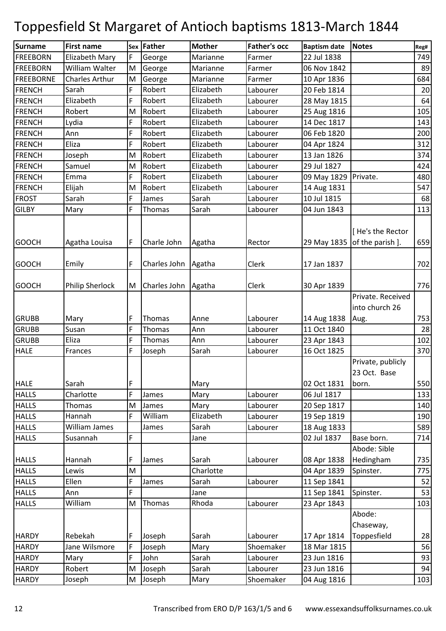| Surname          | <b>First name</b>     |        | Sex Father          | <b>Mother</b> | <b>Father's occ</b>  | <b>Baptism date</b>        | <b>Notes</b>                               | Reg#     |
|------------------|-----------------------|--------|---------------------|---------------|----------------------|----------------------------|--------------------------------------------|----------|
| <b>FREEBORN</b>  | Elizabeth Mary        | F      | George              | Marianne      | Farmer               | 22 Jul 1838                |                                            | 749      |
| <b>FREEBORN</b>  | William Walter        | M      | George              | Marianne      | Farmer               | 06 Nov 1842                |                                            | 89       |
| <b>FREEBORNE</b> | <b>Charles Arthur</b> | M      | George              | Marianne      | Farmer               | 10 Apr 1836                |                                            | 684      |
| <b>FRENCH</b>    | Sarah                 | F      | Robert              | Elizabeth     | Labourer             | 20 Feb 1814                |                                            | 20       |
| <b>FRENCH</b>    | Elizabeth             | F      | Robert              | Elizabeth     | Labourer             | 28 May 1815                |                                            | 64       |
| <b>FRENCH</b>    | Robert                | M      | Robert              | Elizabeth     | Labourer             | 25 Aug 1816                |                                            | 105      |
| <b>FRENCH</b>    | Lydia                 | F      | Robert              | Elizabeth     | Labourer             | 14 Dec 1817                |                                            | 143      |
| <b>FRENCH</b>    | Ann                   | F      | Robert              | Elizabeth     | Labourer             | 06 Feb 1820                |                                            | 200      |
| <b>FRENCH</b>    | Eliza                 | F      | Robert              | Elizabeth     | Labourer             | 04 Apr 1824                |                                            | 312      |
| <b>FRENCH</b>    | Joseph                | M      | Robert              | Elizabeth     | Labourer             | 13 Jan 1826                |                                            | 374      |
| <b>FRENCH</b>    | Samuel                | M      | Robert              | Elizabeth     | Labourer             | 29 Jul 1827                |                                            | 424      |
| <b>FRENCH</b>    | Emma                  | F      | Robert              | Elizabeth     | Labourer             | 09 May 1829                | Private.                                   | 480      |
| <b>FRENCH</b>    | Elijah                | M      | Robert              | Elizabeth     | Labourer             | 14 Aug 1831                |                                            | 547      |
| <b>FROST</b>     | Sarah                 | F      | James               | Sarah         | Labourer             | 10 Jul 1815                |                                            | 68       |
| <b>GILBY</b>     | Mary                  | F      | Thomas              | Sarah         | Labourer             | 04 Jun 1843                |                                            | 113      |
| <b>GOOCH</b>     | Agatha Louisa         | F      | Charle John         | Agatha        | Rector               | 29 May 1835                | [He's the Rector<br>of the parish ].       | 659      |
| <b>GOOCH</b>     | Emily                 | F      | Charles John Agatha |               | Clerk                | 17 Jan 1837                |                                            | 702      |
| <b>GOOCH</b>     | Philip Sherlock       | M      | Charles John Agatha |               | Clerk                | 30 Apr 1839                |                                            | 776      |
|                  |                       |        |                     |               |                      |                            | Private. Received<br>into church 26        |          |
| <b>GRUBB</b>     | Mary                  | F      | Thomas              | Anne          | Labourer             | 14 Aug 1838                | Aug.                                       | 753      |
| <b>GRUBB</b>     | Susan                 | F      | Thomas              | Ann           | Labourer             | 11 Oct 1840                |                                            | 28       |
| <b>GRUBB</b>     | Eliza                 | F      | Thomas              | Ann           | Labourer             | 23 Apr 1843                |                                            | 102      |
| <b>HALE</b>      | Frances               | F      | Joseph              | Sarah         | Labourer             | 16 Oct 1825                |                                            | 370      |
| <b>HALE</b>      | Sarah                 | F      |                     | Mary          |                      | 02 Oct 1831                | Private, publicly<br>23 Oct. Base<br>born. | 550      |
| <b>HALLS</b>     | Charlotte             | F      | James               | Mary          | Labourer             | 06 Jul 1817                |                                            | 133      |
| <b>HALLS</b>     | Thomas                | M      | James               | Mary          | Labourer             | 20 Sep 1817                |                                            | 140      |
| <b>HALLS</b>     | Hannah                | F      | William             | Elizabeth     | Labourer             | 19 Sep 1819                |                                            | 190      |
| <b>HALLS</b>     | <b>William James</b>  |        | James               | Sarah         | Labourer             | 18 Aug 1833                |                                            | 589      |
| <b>HALLS</b>     | Susannah              | F      |                     | Jane          |                      | 02 Jul 1837                | Base born.                                 | 714      |
|                  |                       |        |                     |               |                      |                            | Abode: Sible                               |          |
| <b>HALLS</b>     | Hannah                | F      | James               | Sarah         | Labourer             | 08 Apr 1838                | Hedingham                                  | 735      |
| <b>HALLS</b>     | Lewis                 | M      |                     | Charlotte     |                      | 04 Apr 1839                | Spinster.                                  | 775      |
| <b>HALLS</b>     | Ellen                 | F      | James               | Sarah         | Labourer             | 11 Sep 1841                |                                            | 52       |
| <b>HALLS</b>     | Ann                   | F      |                     | Jane          |                      | 11 Sep 1841                | Spinster.                                  | 53       |
| <b>HALLS</b>     | William               | M      | Thomas              | Rhoda         | Labourer             | 23 Apr 1843                |                                            | 103      |
|                  |                       |        |                     |               |                      |                            | Abode:                                     |          |
|                  |                       |        |                     |               |                      |                            | Chaseway,                                  |          |
| <b>HARDY</b>     | Rebekah               | F      | Joseph              | Sarah         | Labourer             | 17 Apr 1814                | Toppesfield                                | 28       |
| <b>HARDY</b>     | Jane Wilsmore         | F<br>F | Joseph              | Mary<br>Sarah | Shoemaker            | 18 Mar 1815                |                                            | 56       |
| <b>HARDY</b>     | Mary                  | M      | John                | Sarah         | Labourer<br>Labourer | 23 Jun 1816<br>23 Jun 1816 |                                            | 93<br>94 |
| <b>HARDY</b>     | Robert                |        | Joseph              |               |                      |                            |                                            |          |
| <b>HARDY</b>     | Joseph                | M      | Joseph              | Mary          | Shoemaker            | 04 Aug 1816                |                                            | 103      |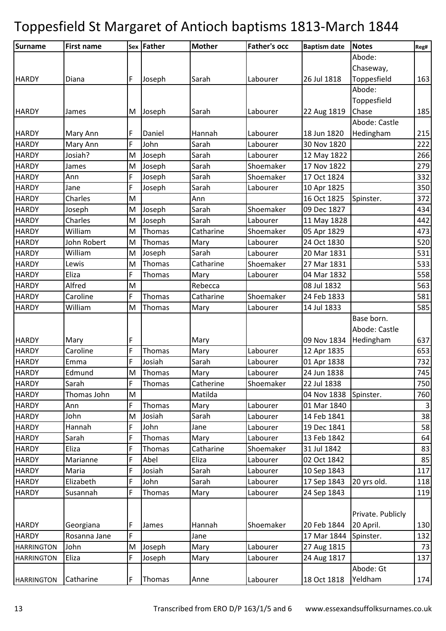| <b>Surname</b>    | <b>First name</b> |    | Sex Father | <b>Mother</b> | <b>Father's occ</b> | <b>Baptism date</b> | <b>Notes</b>      | Reg#         |
|-------------------|-------------------|----|------------|---------------|---------------------|---------------------|-------------------|--------------|
|                   |                   |    |            |               |                     |                     | Abode:            |              |
|                   |                   |    |            |               |                     |                     | Chaseway,         |              |
| <b>HARDY</b>      | Diana             | F  | Joseph     | Sarah         | Labourer            | 26 Jul 1818         | Toppesfield       | 163          |
|                   |                   |    |            |               |                     |                     | Abode:            |              |
|                   |                   |    |            |               |                     |                     | Toppesfield       |              |
| <b>HARDY</b>      | James             | M  | Joseph     | Sarah         | Labourer            | 22 Aug 1819         | Chase             | 185          |
|                   |                   |    |            |               |                     |                     | Abode: Castle     |              |
| <b>HARDY</b>      | Mary Ann          | F  | Daniel     | Hannah        | Labourer            | 18 Jun 1820         | Hedingham         | 215          |
| <b>HARDY</b>      | Mary Ann          | F  | John       | Sarah         | Labourer            | 30 Nov 1820         |                   | 222          |
| <b>HARDY</b>      | Josiah?           | M  | Joseph     | Sarah         | Labourer            | 12 May 1822         |                   | 266          |
| <b>HARDY</b>      | James             | M  | Joseph     | Sarah         | Shoemaker           | 17 Nov 1822         |                   | 279          |
| <b>HARDY</b>      | Ann               | F  | Joseph     | Sarah         | Shoemaker           | 17 Oct 1824         |                   | 332          |
| <b>HARDY</b>      | Jane              | F  | Joseph     | Sarah         | Labourer            | 10 Apr 1825         |                   | 350          |
| <b>HARDY</b>      | Charles           | M  |            | Ann           |                     | 16 Oct 1825         | Spinster.         | 372          |
| <b>HARDY</b>      | Joseph            | M  | Joseph     | Sarah         | Shoemaker           | 09 Dec 1827         |                   | 434          |
| <b>HARDY</b>      | Charles           | M  | Joseph     | Sarah         | Labourer            | 11 May 1828         |                   | 442          |
| <b>HARDY</b>      | William           | M  | Thomas     | Catharine     | Shoemaker           | 05 Apr 1829         |                   | 473          |
| <b>HARDY</b>      | John Robert       | M  | Thomas     | Mary          | Labourer            | 24 Oct 1830         |                   | 520          |
| <b>HARDY</b>      | William           | M  | Joseph     | Sarah         | Labourer            | 20 Mar 1831         |                   | 531          |
| <b>HARDY</b>      | Lewis             | M  | Thomas     | Catharine     | Shoemaker           | 27 Mar 1831         |                   | 533          |
| <b>HARDY</b>      | Eliza             | F  | Thomas     | Mary          | Labourer            | 04 Mar 1832         |                   | 558          |
| <b>HARDY</b>      | Alfred            | M  |            | Rebecca       |                     | 08 Jul 1832         |                   | 563          |
| <b>HARDY</b>      | Caroline          | F  | Thomas     | Catharine     | Shoemaker           | 24 Feb 1833         |                   | 581          |
| <b>HARDY</b>      | William           | M  | Thomas     | Mary          | Labourer            | 14 Jul 1833         |                   | 585          |
|                   |                   |    |            |               |                     |                     | Base born.        |              |
|                   |                   |    |            |               |                     |                     | Abode: Castle     |              |
| <b>HARDY</b>      | Mary              | F  |            | Mary          |                     | 09 Nov 1834         | Hedingham         | 637          |
| <b>HARDY</b>      | Caroline          | F  | Thomas     | Mary          | Labourer            | 12 Apr 1835         |                   | 653          |
| <b>HARDY</b>      | Emma              | F  | Josiah     | Sarah         | Labourer            | 01 Apr 1838         |                   | 732          |
| <b>HARDY</b>      | Edmund            | M  | Thomas     | Mary          | Labourer            | 24 Jun 1838         |                   | 745          |
| <b>HARDY</b>      | Sarah             | F  | Thomas     | Catherine     | Shoemaker           | 22 Jul 1838         |                   | 750          |
| <b>HARDY</b>      | Thomas John       | M  |            | Matilda       |                     | 04 Nov 1838         | Spinster.         | 760          |
| <b>HARDY</b>      | Ann               | F  | Thomas     | Mary          | Labourer            | 01 Mar 1840         |                   | $\mathbf{3}$ |
| <b>HARDY</b>      | John              | M  | Josiah     | Sarah         | Labourer            | 14 Feb 1841         |                   | 38           |
| <b>HARDY</b>      | Hannah            | F  | John       | Jane          | Labourer            | 19 Dec 1841         |                   | 58           |
| <b>HARDY</b>      | Sarah             | F  | Thomas     | Mary          | Labourer            | 13 Feb 1842         |                   | 64           |
| <b>HARDY</b>      | Eliza             | F  | Thomas     | Catharine     | Shoemaker           | 31 Jul 1842         |                   | 83           |
| <b>HARDY</b>      | Marianne          | F  | Abel       | Eliza         | Labourer            | 02 Oct 1842         |                   | 85           |
| <b>HARDY</b>      | Maria             | F  | Josiah     | Sarah         | Labourer            | 10 Sep 1843         |                   | 117          |
| <b>HARDY</b>      | Elizabeth         | F  | John       | Sarah         | Labourer            | 17 Sep 1843         | 20 yrs old.       | 118          |
| <b>HARDY</b>      | Susannah          | F  | Thomas     | Mary          | Labourer            | 24 Sep 1843         |                   | 119          |
|                   |                   |    |            |               |                     |                     |                   |              |
|                   |                   |    |            |               |                     |                     | Private. Publicly |              |
| <b>HARDY</b>      | Georgiana         | F. | James      | Hannah        | Shoemaker           | 20 Feb 1844         | 20 April.         | 130          |
| <b>HARDY</b>      | Rosanna Jane      | F  |            | Jane          |                     | 17 Mar 1844         | Spinster.         | 132          |
| <b>HARRINGTON</b> | John              | M  | Joseph     | Mary          | Labourer            | 27 Aug 1815         |                   | 73           |
| <b>HARRINGTON</b> | Eliza             | F  | Joseph     | Mary          | Labourer            | 24 Aug 1817         |                   | 137          |
|                   |                   |    |            |               |                     |                     | Abode: Gt         |              |
| <b>HARRINGTON</b> | Catharine         | F. | Thomas     | Anne          | Labourer            | 18 Oct 1818         | Yeldham           | 174          |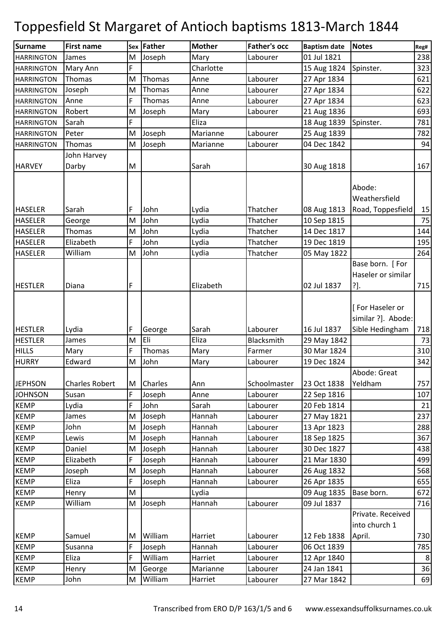| <b>Surname</b>    | <b>First name</b>     |    | Sex Father     | <b>Mother</b> | <b>Father's occ</b> | <b>Baptism date</b> | <b>Notes</b>                                 | Reg#           |
|-------------------|-----------------------|----|----------------|---------------|---------------------|---------------------|----------------------------------------------|----------------|
| <b>HARRINGTON</b> | James                 | M  | Joseph         | Mary          | Labourer            | 01 Jul 1821         |                                              | 238            |
| <b>HARRINGTON</b> | Mary Ann              | F  |                | Charlotte     |                     | 15 Aug 1824         | Spinster.                                    | 323            |
| <b>HARRINGTON</b> | Thomas                | M  | Thomas         | Anne          | Labourer            | 27 Apr 1834         |                                              | 621            |
| <b>HARRINGTON</b> | Joseph                | M  | Thomas         | Anne          | Labourer            | 27 Apr 1834         |                                              | 622            |
| <b>HARRINGTON</b> | Anne                  | F  | Thomas         | Anne          | Labourer            | 27 Apr 1834         |                                              | 623            |
| <b>HARRINGTON</b> | Robert                | M  | Joseph         | Mary          | Labourer            | 21 Aug 1836         |                                              | 693            |
| <b>HARRINGTON</b> | Sarah                 | Ë  |                | Eliza         |                     | 18 Aug 1839         | Spinster.                                    | 781            |
| <b>HARRINGTON</b> | Peter                 | M  | Joseph         | Marianne      | Labourer            | 25 Aug 1839         |                                              | 782            |
| <b>HARRINGTON</b> | Thomas                | M  | Joseph         | Marianne      | Labourer            | 04 Dec 1842         |                                              | 94             |
|                   | John Harvey           |    |                |               |                     |                     |                                              |                |
| <b>HARVEY</b>     | Darby                 | M  |                | Sarah         |                     | 30 Aug 1818         |                                              | 167            |
| <b>HASELER</b>    | Sarah                 | F  | John           | Lydia         | Thatcher            | 08 Aug 1813         | Abode:<br>Weathersfield<br>Road, Toppesfield | 15             |
| <b>HASELER</b>    | George                | M  | John           | Lydia         | Thatcher            | 10 Sep 1815         |                                              | 75             |
| <b>HASELER</b>    | Thomas                | M  | John           | Lydia         | Thatcher            | 14 Dec 1817         |                                              | 144            |
| <b>HASELER</b>    | Elizabeth             | F. | John           | Lydia         | Thatcher            | 19 Dec 1819         |                                              | 195            |
| <b>HASELER</b>    | William               | M  | John           | Lydia         | Thatcher            | 05 May 1822         |                                              | 264            |
| <b>HESTLER</b>    | Diana                 | F  |                | Elizabeth     |                     | 02 Jul 1837         | Base born. [For<br>Haseler or similar<br>?]. | 715            |
|                   |                       |    |                |               |                     |                     | [For Haseler or<br>similar ?]. Abode:        |                |
| <b>HESTLER</b>    | Lydia                 | F  | George         | Sarah         | Labourer            | 16 Jul 1837         | Sible Hedingham                              | 718            |
| <b>HESTLER</b>    | James                 | M  | Eli            | Eliza         | Blacksmith          | 29 May 1842         |                                              | 73             |
| <b>HILLS</b>      | Mary                  | F  | Thomas         | Mary          | Farmer              | 30 Mar 1824         |                                              | 310            |
| <b>HURRY</b>      | Edward                | M  | John           | Mary          | Labourer            | 19 Dec 1824         |                                              | 342            |
| <b>JEPHSON</b>    | <b>Charles Robert</b> | M  | <b>Charles</b> | Ann           | Schoolmaster        | 23 Oct 1838         | Abode: Great<br>Yeldham                      | 757            |
| <b>JOHNSON</b>    | Susan                 | F  | Joseph         | Anne          | Labourer            | 22 Sep 1816         |                                              | 107            |
| <b>KEMP</b>       | Lydia                 | Ė. | John           | Sarah         | Labourer            | 20 Feb 1814         |                                              | 21             |
| <b>KEMP</b>       | James                 | M  | Joseph         | Hannah        | Labourer            | 27 May 1821         |                                              | 237            |
| <b>KEMP</b>       | John                  | M  | Joseph         | Hannah        | Labourer            | 13 Apr 1823         |                                              | 288            |
| <b>KEMP</b>       | Lewis                 | M  | Joseph         | Hannah        | Labourer            | 18 Sep 1825         |                                              | 367            |
| <b>KEMP</b>       | Daniel                | M  | Joseph         | Hannah        | Labourer            | 30 Dec 1827         |                                              | 438            |
| <b>KEMP</b>       | Elizabeth             | F  | Joseph         | Hannah        | Labourer            | 21 Mar 1830         |                                              | 499            |
| <b>KEMP</b>       | Joseph                | M  | Joseph         | Hannah        | Labourer            | 26 Aug 1832         |                                              | 568            |
| <b>KEMP</b>       | Eliza                 | F  | Joseph         | Hannah        | Labourer            | 26 Apr 1835         |                                              | 655            |
| <b>KEMP</b>       | Henry                 | M  |                | Lydia         |                     | 09 Aug 1835         | Base born.                                   | 672            |
| <b>KEMP</b>       | William               | M  | Joseph         | Hannah        | Labourer            | 09 Jul 1837         |                                              | 716            |
|                   |                       |    |                |               |                     |                     | Private. Received<br>into church 1           |                |
| <b>KEMP</b>       | Samuel                | M  | William        | Harriet       | Labourer            | 12 Feb 1838         | April.                                       | 730            |
| <b>KEMP</b>       | Susanna               | F  | Joseph         | Hannah        | Labourer            | 06 Oct 1839         |                                              | 785            |
| <b>KEMP</b>       | Eliza                 | F  | William        | Harriet       | Labourer            | 12 Apr 1840         |                                              | 8 <sup>1</sup> |
| <b>KEMP</b>       | Henry                 | M  | George         | Marianne      | Labourer            | 24 Jan 1841         |                                              | 36             |
| <b>KEMP</b>       | John                  | M  | William        | Harriet       | Labourer            | 27 Mar 1842         |                                              | 69             |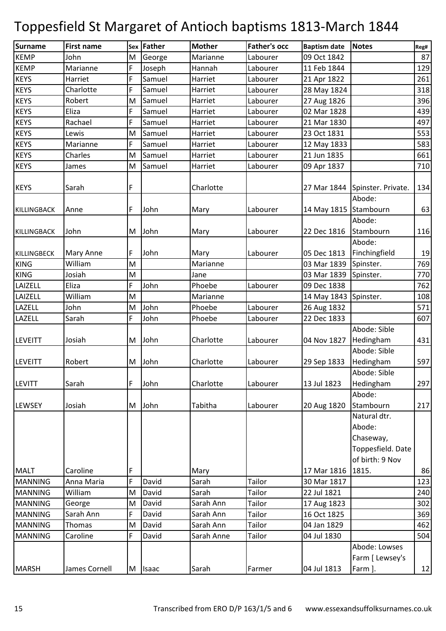| <b>Surname</b>     | <b>First name</b> |   | Sex Father   | <b>Mother</b> | <b>Father's occ</b> | <b>Baptism date</b>   | <b>Notes</b>                   | Reg# |
|--------------------|-------------------|---|--------------|---------------|---------------------|-----------------------|--------------------------------|------|
| <b>KEMP</b>        | John              | M | George       | Marianne      | Labourer            | 09 Oct 1842           |                                | 87   |
| <b>KEMP</b>        | Marianne          | F | Joseph       | Hannah        | Labourer            | 11 Feb 1844           |                                | 129  |
| <b>KEYS</b>        | Harriet           | F | Samuel       | Harriet       | Labourer            | 21 Apr 1822           |                                | 261  |
| <b>KEYS</b>        | Charlotte         | F | Samuel       | Harriet       | Labourer            | 28 May 1824           |                                | 318  |
| <b>KEYS</b>        | Robert            | M | Samuel       | Harriet       | Labourer            | 27 Aug 1826           |                                | 396  |
| <b>KEYS</b>        | Eliza             | F | Samuel       | Harriet       | Labourer            | 02 Mar 1828           |                                | 439  |
| <b>KEYS</b>        | Rachael           | F | Samuel       | Harriet       | Labourer            | 21 Mar 1830           |                                | 497  |
| <b>KEYS</b>        | Lewis             | M | Samuel       | Harriet       | Labourer            | 23 Oct 1831           |                                | 553  |
| <b>KEYS</b>        | Marianne          | F | Samuel       | Harriet       | Labourer            | 12 May 1833           |                                | 583  |
| <b>KEYS</b>        | Charles           | M | Samuel       | Harriet       | Labourer            | 21 Jun 1835           |                                | 661  |
| <b>KEYS</b>        | James             | M | Samuel       | Harriet       | Labourer            | 09 Apr 1837           |                                | 710  |
|                    |                   |   |              |               |                     |                       |                                |      |
| <b>KEYS</b>        | Sarah             | F |              | Charlotte     |                     |                       | 27 Mar 1844 Spinster. Private. | 134  |
|                    |                   |   |              |               |                     |                       | Abode:                         |      |
| <b>KILLINGBACK</b> | Anne              | F | John         | Mary          | Labourer            | 14 May 1815 Stambourn |                                | 63   |
|                    |                   |   |              |               |                     |                       | Abode:                         |      |
| <b>KILLINGBACK</b> | John              | M | John         | Mary          | Labourer            | 22 Dec 1816           | Stambourn                      | 116  |
|                    |                   |   |              |               |                     |                       | Abode:                         |      |
| <b>KILLINGBECK</b> | Mary Anne         | F | John         | Mary          | Labourer            | 05 Dec 1813           | Finchingfield                  | 19   |
| <b>KING</b>        | William           | M |              | Marianne      |                     | 03 Mar 1839           | Spinster.                      | 769  |
| <b>KING</b>        | Josiah            | M |              | Jane          |                     | 03 Mar 1839           | Spinster.                      | 770  |
| LAIZELL            | Eliza             | F | John         | Phoebe        | Labourer            | 09 Dec 1838           |                                | 762  |
| LAIZELL            | William           | M |              | Marianne      |                     | 14 May 1843           | Spinster.                      | 108  |
| LAZELL             | John              | M | John         | Phoebe        | Labourer            | 26 Aug 1832           |                                | 571  |
| LAZELL             | Sarah             | F | John         | Phoebe        | Labourer            | 22 Dec 1833           |                                | 607  |
|                    |                   |   |              |               |                     |                       | Abode: Sible                   |      |
| <b>LEVEITT</b>     | Josiah            | M | John         | Charlotte     | Labourer            | 04 Nov 1827           | Hedingham                      | 431  |
|                    |                   |   |              |               |                     |                       | Abode: Sible                   |      |
| <b>LEVEITT</b>     | Robert            | M | John         | Charlotte     | Labourer            | 29 Sep 1833           | Hedingham                      | 597  |
|                    |                   |   |              |               |                     |                       | Abode: Sible                   |      |
| <b>LEVITT</b>      | Sarah             | F | John         | Charlotte     | Labourer            | 13 Jul 1823           | Hedingham                      | 297  |
|                    |                   |   |              |               |                     |                       | Abode:                         |      |
| LEWSEY             | Josiah            | M | John         | Tabitha       | Labourer            | 20 Aug 1820           | Stambourn                      | 217  |
|                    |                   |   |              |               |                     |                       | Natural dtr.                   |      |
|                    |                   |   |              |               |                     |                       | Abode:                         |      |
|                    |                   |   |              |               |                     |                       | Chaseway,                      |      |
|                    |                   |   |              |               |                     |                       | Toppesfield. Date              |      |
|                    |                   |   |              |               |                     |                       | of birth: 9 Nov                |      |
| <b>MALT</b>        | Caroline          | F |              | Mary          |                     | 17 Mar 1816           | 1815.                          | 86   |
| <b>MANNING</b>     | Anna Maria        | F | David        | Sarah         | Tailor              | 30 Mar 1817           |                                | 123  |
| <b>MANNING</b>     | William           | M | David        | Sarah         | Tailor              | 22 Jul 1821           |                                | 240  |
| <b>MANNING</b>     | George            | M | David        | Sarah Ann     | Tailor              | 17 Aug 1823           |                                | 302  |
| <b>MANNING</b>     | Sarah Ann         | F | David        | Sarah Ann     | Tailor              | 16 Oct 1825           |                                | 369  |
| <b>MANNING</b>     | Thomas            | M | David        | Sarah Ann     | Tailor              | 04 Jan 1829           |                                | 462  |
| <b>MANNING</b>     | Caroline          | F | David        | Sarah Anne    | Tailor              | 04 Jul 1830           |                                | 504  |
|                    |                   |   |              |               |                     |                       | Abode: Lowses                  |      |
|                    |                   |   |              |               |                     |                       | Farm [ Lewsey's                |      |
| <b>MARSH</b>       | James Cornell     | M | <b>Isaac</b> | Sarah         | Farmer              | 04 Jul 1813           | Farm ].                        | 12   |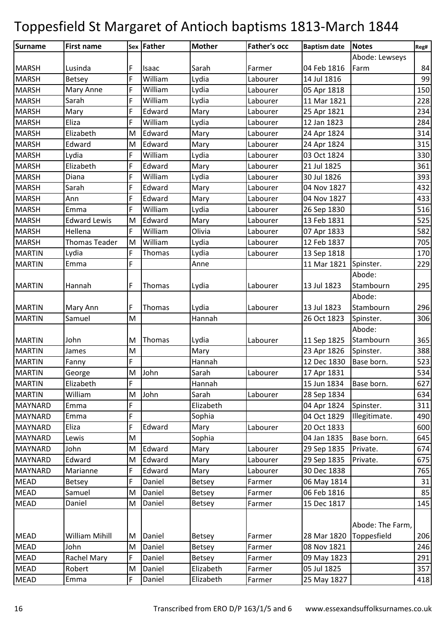| Surname        | <b>First name</b>    |   | Sex Father | <b>Mother</b> | <b>Father's occ</b> | <b>Baptism date</b> | Notes            | Reg# |
|----------------|----------------------|---|------------|---------------|---------------------|---------------------|------------------|------|
|                |                      |   |            |               |                     |                     | Abode: Lewseys   |      |
| <b>MARSH</b>   | Lusinda              | F | Isaac      | Sarah         | Farmer              | 04 Feb 1816         | Farm             | 84   |
| <b>MARSH</b>   | Betsey               | F | William    | Lydia         | Labourer            | 14 Jul 1816         |                  | 99   |
| <b>MARSH</b>   | Mary Anne            | F | William    | Lydia         | Labourer            | 05 Apr 1818         |                  | 150  |
| <b>MARSH</b>   | Sarah                | F | William    | Lydia         | Labourer            | 11 Mar 1821         |                  | 228  |
| <b>MARSH</b>   | Mary                 | F | Edward     | Mary          | Labourer            | 25 Apr 1821         |                  | 234  |
| <b>MARSH</b>   | Eliza                | F | William    | Lydia         | Labourer            | 12 Jan 1823         |                  | 284  |
| <b>MARSH</b>   | Elizabeth            | M | Edward     | Mary          | Labourer            | 24 Apr 1824         |                  | 314  |
| <b>MARSH</b>   | Edward               | M | Edward     | Mary          | Labourer            | 24 Apr 1824         |                  | 315  |
| <b>MARSH</b>   | Lydia                | F | William    | Lydia         | Labourer            | 03 Oct 1824         |                  | 330  |
| <b>MARSH</b>   | Elizabeth            | F | Edward     | Mary          | Labourer            | 21 Jul 1825         |                  | 361  |
| <b>MARSH</b>   | Diana                | F | William    | Lydia         | Labourer            | 30 Jul 1826         |                  | 393  |
| <b>MARSH</b>   | Sarah                | F | Edward     | Mary          | Labourer            | 04 Nov 1827         |                  | 432  |
| <b>MARSH</b>   | Ann                  | F | Edward     | Mary          | Labourer            | 04 Nov 1827         |                  | 433  |
| <b>MARSH</b>   | Emma                 | F | William    | Lydia         | Labourer            | 26 Sep 1830         |                  | 516  |
| <b>MARSH</b>   | <b>Edward Lewis</b>  | M | Edward     | Mary          | Labourer            | 13 Feb 1831         |                  | 525  |
| <b>MARSH</b>   | Hellena              | F | William    | Olivia        | Labourer            | 07 Apr 1833         |                  | 582  |
| <b>MARSH</b>   | <b>Thomas Teader</b> | M | William    | Lydia         | Labourer            | 12 Feb 1837         |                  | 705  |
| <b>MARTIN</b>  | Lydia                | F | Thomas     | Lydia         | Labourer            | 13 Sep 1818         |                  | 170  |
| <b>MARTIN</b>  | Emma                 | F |            | Anne          |                     | 11 Mar 1821         | Spinster.        | 229  |
|                |                      |   |            |               |                     |                     | Abode:           |      |
| <b>MARTIN</b>  | Hannah               | F | Thomas     | Lydia         | Labourer            | 13 Jul 1823         | Stambourn        | 295  |
|                |                      |   |            |               |                     |                     | Abode:           |      |
| <b>MARTIN</b>  | Mary Ann             | F | Thomas     | Lydia         | Labourer            | 13 Jul 1823         | Stambourn        | 296  |
| <b>MARTIN</b>  | Samuel               | M |            | Hannah        |                     | 26 Oct 1823         | Spinster.        | 306  |
|                |                      |   |            |               |                     |                     | Abode:           |      |
| <b>MARTIN</b>  | John                 | M | Thomas     | Lydia         | Labourer            | 11 Sep 1825         | Stambourn        | 365  |
| <b>MARTIN</b>  | James                | M |            | Mary          |                     | 23 Apr 1826         | Spinster.        | 388  |
| <b>MARTIN</b>  | Fanny                | F |            | Hannah        |                     | 12 Dec 1830         | Base born.       | 523  |
| <b>MARTIN</b>  | George               | M | John       | Sarah         | Labourer            | 17 Apr 1831         |                  | 534  |
| <b>MARTIN</b>  | Elizabeth            | F |            | Hannah        |                     | 15 Jun 1834         | Base born.       | 627  |
| <b>MARTIN</b>  | William              | M | John       | Sarah         | Labourer            | 28 Sep 1834         |                  | 634  |
| <b>MAYNARD</b> | Emma                 | F |            | Elizabeth     |                     | 04 Apr 1824         | Spinster.        | 311  |
| <b>MAYNARD</b> | Emma                 | F |            | Sophia        |                     | 04 Oct 1829         | Illegitimate.    | 490  |
| <b>MAYNARD</b> | Eliza                | F | Edward     | Mary          | Labourer            | 20 Oct 1833         |                  | 600  |
| <b>MAYNARD</b> | Lewis                | M |            | Sophia        |                     | 04 Jan 1835         | Base born.       | 645  |
| <b>MAYNARD</b> | John                 | M | Edward     | Mary          | Labourer            | 29 Sep 1835         | Private.         | 674  |
| <b>MAYNARD</b> | Edward               | M | Edward     | Mary          | Labourer            | 29 Sep 1835         | Private.         | 675  |
| <b>MAYNARD</b> | Marianne             | F | Edward     | Mary          | Labourer            | 30 Dec 1838         |                  | 765  |
| <b>MEAD</b>    | <b>Betsey</b>        | F | Daniel     | <b>Betsey</b> | Farmer              | 06 May 1814         |                  | 31   |
| <b>MEAD</b>    | Samuel               | M | Daniel     | <b>Betsey</b> | Farmer              | 06 Feb 1816         |                  | 85   |
| <b>MEAD</b>    | Daniel               | M | Daniel     | <b>Betsey</b> | Farmer              | 15 Dec 1817         |                  | 145  |
|                |                      |   |            |               |                     |                     |                  |      |
|                | William Mihill       |   |            |               |                     |                     | Abode: The Farm, |      |
| <b>MEAD</b>    |                      | M | Daniel     | <b>Betsey</b> | Farmer              | 28 Mar 1820         | Toppesfield      | 206  |
| <b>MEAD</b>    | John                 | M | Daniel     | <b>Betsey</b> | Farmer              | 08 Nov 1821         |                  | 246  |
| <b>MEAD</b>    | Rachel Mary          | F | Daniel     | Betsey        | Farmer              | 09 May 1823         |                  | 291  |
| <b>MEAD</b>    | Robert               | M | Daniel     | Elizabeth     | Farmer              | 05 Jul 1825         |                  | 357  |
| <b>MEAD</b>    | Emma                 | F | Daniel     | Elizabeth     | Farmer              | 25 May 1827         |                  | 418  |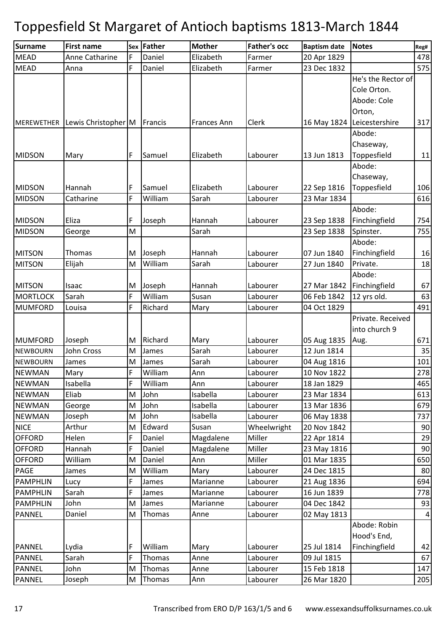| <b>Surname</b>    | <b>First name</b>   |   | Sex Father | <b>Mother</b> | <b>Father's occ</b> | <b>Baptism date</b> | <b>Notes</b>       | Reg#           |
|-------------------|---------------------|---|------------|---------------|---------------------|---------------------|--------------------|----------------|
| <b>MEAD</b>       | Anne Catharine      | F | Daniel     | Elizabeth     | Farmer              | 20 Apr 1829         |                    | 478            |
| <b>MEAD</b>       | Anna                | F | Daniel     | Elizabeth     | Farmer              | 23 Dec 1832         |                    | 575            |
|                   |                     |   |            |               |                     |                     | He's the Rector of |                |
|                   |                     |   |            |               |                     |                     | Cole Orton.        |                |
|                   |                     |   |            |               |                     |                     | Abode: Cole        |                |
|                   |                     |   |            |               |                     |                     | Orton,             |                |
| <b>MEREWETHER</b> | Lewis Christopher M |   | Francis    | Frances Ann   | Clerk               | 16 May 1824         | Leicestershire     | 317            |
|                   |                     |   |            |               |                     |                     | Abode:             |                |
|                   |                     |   |            |               |                     |                     | Chaseway,          |                |
| <b>MIDSON</b>     | Mary                | F | Samuel     | Elizabeth     | Labourer            | 13 Jun 1813         | Toppesfield        | 11             |
|                   |                     |   |            |               |                     |                     | Abode:             |                |
|                   |                     |   |            |               |                     |                     | Chaseway,          |                |
| <b>MIDSON</b>     | Hannah              | F | Samuel     | Elizabeth     | Labourer            | 22 Sep 1816         | Toppesfield        | 106            |
| <b>MIDSON</b>     | Catharine           | F | William    | Sarah         | Labourer            | 23 Mar 1834         |                    | 616            |
|                   |                     |   |            |               |                     |                     | Abode:             |                |
| <b>MIDSON</b>     | Eliza               | F | Joseph     | Hannah        | Labourer            | 23 Sep 1838         | Finchingfield      | 754            |
| <b>MIDSON</b>     | George              | M |            | Sarah         |                     | 23 Sep 1838         | Spinster.          | 755            |
|                   |                     |   |            |               |                     |                     | Abode:             |                |
| <b>MITSON</b>     | Thomas              | M | Joseph     | Hannah        | Labourer            | 07 Jun 1840         | Finchingfield      | 16             |
| <b>MITSON</b>     | Elijah              | M | William    | Sarah         | Labourer            | 27 Jun 1840         | Private.           | 18             |
|                   |                     |   |            |               |                     |                     | Abode:             |                |
| <b>MITSON</b>     | Isaac               | M | Joseph     | Hannah        | Labourer            | 27 Mar 1842         | Finchingfield      | 67             |
| <b>MORTLOCK</b>   | Sarah               | F | William    | Susan         | Labourer            | 06 Feb 1842         | 12 yrs old.        | 63             |
| <b>MUMFORD</b>    | Louisa              | F | Richard    | Mary          | Labourer            | 04 Oct 1829         |                    | 491            |
|                   |                     |   |            |               |                     |                     | Private. Received  |                |
|                   |                     |   |            |               |                     |                     | into church 9      |                |
| <b>MUMFORD</b>    | Joseph              | м | Richard    | Mary          | Labourer            | 05 Aug 1835         | Aug.               | 671            |
| <b>NEWBOURN</b>   | John Cross          | M | James      | Sarah         | Labourer            | 12 Jun 1814         |                    | 35             |
| <b>NEWBOURN</b>   | James               | M | James      | Sarah         | Labourer            | 04 Aug 1816         |                    | 101            |
| <b>NEWMAN</b>     | Mary                | F | William    | Ann           | Labourer            | 10 Nov 1822         |                    | 278            |
| <b>NEWMAN</b>     | Isabella            | F | William    | Ann           | Labourer            | 18 Jan 1829         |                    | 465            |
| <b>NEWMAN</b>     | Eliab               | M | John       | Isabella      | Labourer            | 23 Mar 1834         |                    | 613            |
| <b>NEWMAN</b>     | George              | M | John       | Isabella      | Labourer            | 13 Mar 1836         |                    | 679            |
| <b>NEWMAN</b>     | Joseph              | M | John       | Isabella      | Labourer            | 06 May 1838         |                    | 737            |
| <b>NICE</b>       | Arthur              | M | Edward     | Susan         | Wheelwright         | 20 Nov 1842         |                    | 90             |
| <b>OFFORD</b>     | Helen               | F | Daniel     | Magdalene     | Miller              | 22 Apr 1814         |                    | 29             |
| <b>OFFORD</b>     | Hannah              | F | Daniel     | Magdalene     | Miller              | 23 May 1816         |                    | 90             |
| <b>OFFORD</b>     | William             | M | Daniel     | Ann           | Miller              | 01 Mar 1835         |                    | 650            |
| PAGE              | James               | M | William    | Mary          | Labourer            | 24 Dec 1815         |                    | 80             |
| <b>PAMPHLIN</b>   | Lucy                | F | James      | Marianne      | Labourer            | 21 Aug 1836         |                    | 694            |
| <b>PAMPHLIN</b>   | Sarah               | F | James      | Marianne      | Labourer            | 16 Jun 1839         |                    | 778            |
| <b>PAMPHLIN</b>   | John                | M | James      | Marianne      | Labourer            | 04 Dec 1842         |                    | 93             |
| PANNEL            | Daniel              | M | Thomas     | Anne          | Labourer            | 02 May 1813         |                    | $\overline{4}$ |
|                   |                     |   |            |               |                     |                     | Abode: Robin       |                |
|                   |                     |   |            |               |                     |                     | Hood's End,        |                |
| <b>PANNEL</b>     | Lydia               | F | William    | Mary          | Labourer            | 25 Jul 1814         | Finchingfield      | 42             |
| PANNEL            | Sarah               | F | Thomas     | Anne          | Labourer            | 09 Jul 1815         |                    | 67             |
| <b>PANNEL</b>     | John                | M | Thomas     | Anne          | Labourer            | 15 Feb 1818         |                    | 147            |
| PANNEL            | Joseph              | M | Thomas     | Ann           | Labourer            | 26 Mar 1820         |                    | 205            |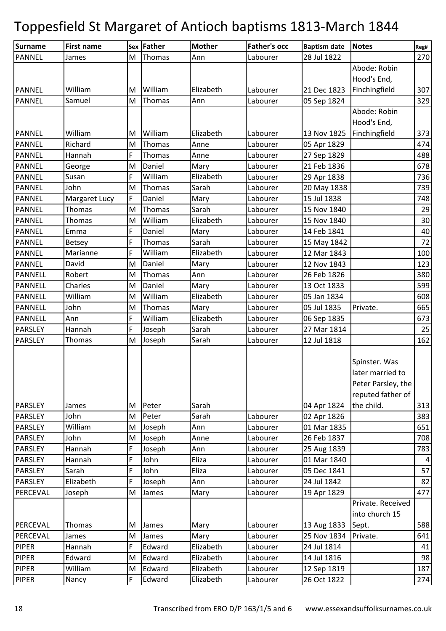| Thomas<br>270<br><b>PANNEL</b><br>M<br>Ann<br>Labourer<br>28 Jul 1822<br>James<br>Abode: Robin<br>Hood's End,<br>Finchingfield<br>William<br>William<br>Elizabeth<br>307<br><b>PANNEL</b><br>Labourer<br>21 Dec 1823<br>M<br>Samuel<br>329<br><b>PANNEL</b><br>Thomas<br>Ann<br>Labourer<br>05 Sep 1824<br>M<br>Abode: Robin<br>Hood's End,<br>William<br>William<br>Finchingfield<br>Elizabeth<br>13 Nov 1825<br>373<br><b>PANNEL</b><br>Labourer<br>M<br>474<br><b>PANNEL</b><br>Richard<br>Thomas<br>Labourer<br>M<br>Anne<br>05 Apr 1829<br>488<br><b>PANNEL</b><br>F<br>Hannah<br>Thomas<br>Anne<br>Labourer<br>27 Sep 1829<br>Daniel<br>Mary<br>21 Feb 1836<br><b>PANNEL</b><br>George<br>M<br>Labourer<br>678<br>Susan<br><b>PANNEL</b><br>F<br>William<br>Elizabeth<br>736<br>Labourer<br>29 Apr 1838<br>739<br><b>PANNEL</b><br>John<br>M<br>Thomas<br>Sarah<br>Labourer<br>20 May 1838<br>Margaret Lucy<br>F<br>Daniel<br>Labourer<br>15 Jul 1838<br>748<br><b>PANNEL</b><br>Mary<br>Thomas<br>Thomas<br>Sarah<br>15 Nov 1840<br>29<br>PANNEL<br>M<br>Labourer<br>30<br><b>PANNEL</b><br>William<br>Elizabeth<br>15 Nov 1840<br>Thomas<br>M<br>Labourer<br>Emma<br>F<br>Daniel<br>40<br><b>PANNEL</b><br>Labourer<br>14 Feb 1841<br>Mary<br>F<br>72<br>Sarah<br>15 May 1842<br><b>PANNEL</b><br>Thomas<br>Labourer<br>Betsey<br>William<br>Marianne<br>F<br>Elizabeth<br>Labourer<br>12 Mar 1843<br>100<br><b>PANNEL</b><br>123<br><b>PANNEL</b><br>David<br>M<br>Daniel<br>Labourer<br>12 Nov 1843<br>Mary<br>380<br><b>PANNELL</b><br>Robert<br>Thomas<br>Ann<br>Labourer<br>26 Feb 1826<br>M<br>Daniel<br>599<br>Charles<br>13 Oct 1833<br><b>PANNELL</b><br>M<br>Labourer<br>Mary<br>Elizabeth<br>William<br>William<br>608<br><b>PANNELL</b><br>Labourer<br>05 Jan 1834<br>M<br>05 Jul 1835<br>665<br><b>PANNELL</b><br>John<br>Thomas<br>Labourer<br>Private.<br>M<br>Mary<br>F<br>William<br>Elizabeth<br>673<br><b>PANNELL</b><br>Labourer<br>06 Sep 1835<br>Ann<br>Hannah<br>F<br>Joseph<br>Sarah<br>27 Mar 1814<br>25<br>PARSLEY<br>Labourer<br>Joseph<br>Sarah<br>162<br><b>PARSLEY</b><br>Thomas<br>M<br>Labourer<br>12 Jul 1818<br>Spinster. Was |
|-------------------------------------------------------------------------------------------------------------------------------------------------------------------------------------------------------------------------------------------------------------------------------------------------------------------------------------------------------------------------------------------------------------------------------------------------------------------------------------------------------------------------------------------------------------------------------------------------------------------------------------------------------------------------------------------------------------------------------------------------------------------------------------------------------------------------------------------------------------------------------------------------------------------------------------------------------------------------------------------------------------------------------------------------------------------------------------------------------------------------------------------------------------------------------------------------------------------------------------------------------------------------------------------------------------------------------------------------------------------------------------------------------------------------------------------------------------------------------------------------------------------------------------------------------------------------------------------------------------------------------------------------------------------------------------------------------------------------------------------------------------------------------------------------------------------------------------------------------------------------------------------------------------------------------------------------------------------------------------------------------------------------------------------------------------------------------------------------------------------------------------------------------------------------|
|                                                                                                                                                                                                                                                                                                                                                                                                                                                                                                                                                                                                                                                                                                                                                                                                                                                                                                                                                                                                                                                                                                                                                                                                                                                                                                                                                                                                                                                                                                                                                                                                                                                                                                                                                                                                                                                                                                                                                                                                                                                                                                                                                                         |
|                                                                                                                                                                                                                                                                                                                                                                                                                                                                                                                                                                                                                                                                                                                                                                                                                                                                                                                                                                                                                                                                                                                                                                                                                                                                                                                                                                                                                                                                                                                                                                                                                                                                                                                                                                                                                                                                                                                                                                                                                                                                                                                                                                         |
|                                                                                                                                                                                                                                                                                                                                                                                                                                                                                                                                                                                                                                                                                                                                                                                                                                                                                                                                                                                                                                                                                                                                                                                                                                                                                                                                                                                                                                                                                                                                                                                                                                                                                                                                                                                                                                                                                                                                                                                                                                                                                                                                                                         |
|                                                                                                                                                                                                                                                                                                                                                                                                                                                                                                                                                                                                                                                                                                                                                                                                                                                                                                                                                                                                                                                                                                                                                                                                                                                                                                                                                                                                                                                                                                                                                                                                                                                                                                                                                                                                                                                                                                                                                                                                                                                                                                                                                                         |
|                                                                                                                                                                                                                                                                                                                                                                                                                                                                                                                                                                                                                                                                                                                                                                                                                                                                                                                                                                                                                                                                                                                                                                                                                                                                                                                                                                                                                                                                                                                                                                                                                                                                                                                                                                                                                                                                                                                                                                                                                                                                                                                                                                         |
|                                                                                                                                                                                                                                                                                                                                                                                                                                                                                                                                                                                                                                                                                                                                                                                                                                                                                                                                                                                                                                                                                                                                                                                                                                                                                                                                                                                                                                                                                                                                                                                                                                                                                                                                                                                                                                                                                                                                                                                                                                                                                                                                                                         |
|                                                                                                                                                                                                                                                                                                                                                                                                                                                                                                                                                                                                                                                                                                                                                                                                                                                                                                                                                                                                                                                                                                                                                                                                                                                                                                                                                                                                                                                                                                                                                                                                                                                                                                                                                                                                                                                                                                                                                                                                                                                                                                                                                                         |
|                                                                                                                                                                                                                                                                                                                                                                                                                                                                                                                                                                                                                                                                                                                                                                                                                                                                                                                                                                                                                                                                                                                                                                                                                                                                                                                                                                                                                                                                                                                                                                                                                                                                                                                                                                                                                                                                                                                                                                                                                                                                                                                                                                         |
|                                                                                                                                                                                                                                                                                                                                                                                                                                                                                                                                                                                                                                                                                                                                                                                                                                                                                                                                                                                                                                                                                                                                                                                                                                                                                                                                                                                                                                                                                                                                                                                                                                                                                                                                                                                                                                                                                                                                                                                                                                                                                                                                                                         |
|                                                                                                                                                                                                                                                                                                                                                                                                                                                                                                                                                                                                                                                                                                                                                                                                                                                                                                                                                                                                                                                                                                                                                                                                                                                                                                                                                                                                                                                                                                                                                                                                                                                                                                                                                                                                                                                                                                                                                                                                                                                                                                                                                                         |
|                                                                                                                                                                                                                                                                                                                                                                                                                                                                                                                                                                                                                                                                                                                                                                                                                                                                                                                                                                                                                                                                                                                                                                                                                                                                                                                                                                                                                                                                                                                                                                                                                                                                                                                                                                                                                                                                                                                                                                                                                                                                                                                                                                         |
|                                                                                                                                                                                                                                                                                                                                                                                                                                                                                                                                                                                                                                                                                                                                                                                                                                                                                                                                                                                                                                                                                                                                                                                                                                                                                                                                                                                                                                                                                                                                                                                                                                                                                                                                                                                                                                                                                                                                                                                                                                                                                                                                                                         |
|                                                                                                                                                                                                                                                                                                                                                                                                                                                                                                                                                                                                                                                                                                                                                                                                                                                                                                                                                                                                                                                                                                                                                                                                                                                                                                                                                                                                                                                                                                                                                                                                                                                                                                                                                                                                                                                                                                                                                                                                                                                                                                                                                                         |
|                                                                                                                                                                                                                                                                                                                                                                                                                                                                                                                                                                                                                                                                                                                                                                                                                                                                                                                                                                                                                                                                                                                                                                                                                                                                                                                                                                                                                                                                                                                                                                                                                                                                                                                                                                                                                                                                                                                                                                                                                                                                                                                                                                         |
|                                                                                                                                                                                                                                                                                                                                                                                                                                                                                                                                                                                                                                                                                                                                                                                                                                                                                                                                                                                                                                                                                                                                                                                                                                                                                                                                                                                                                                                                                                                                                                                                                                                                                                                                                                                                                                                                                                                                                                                                                                                                                                                                                                         |
|                                                                                                                                                                                                                                                                                                                                                                                                                                                                                                                                                                                                                                                                                                                                                                                                                                                                                                                                                                                                                                                                                                                                                                                                                                                                                                                                                                                                                                                                                                                                                                                                                                                                                                                                                                                                                                                                                                                                                                                                                                                                                                                                                                         |
|                                                                                                                                                                                                                                                                                                                                                                                                                                                                                                                                                                                                                                                                                                                                                                                                                                                                                                                                                                                                                                                                                                                                                                                                                                                                                                                                                                                                                                                                                                                                                                                                                                                                                                                                                                                                                                                                                                                                                                                                                                                                                                                                                                         |
|                                                                                                                                                                                                                                                                                                                                                                                                                                                                                                                                                                                                                                                                                                                                                                                                                                                                                                                                                                                                                                                                                                                                                                                                                                                                                                                                                                                                                                                                                                                                                                                                                                                                                                                                                                                                                                                                                                                                                                                                                                                                                                                                                                         |
|                                                                                                                                                                                                                                                                                                                                                                                                                                                                                                                                                                                                                                                                                                                                                                                                                                                                                                                                                                                                                                                                                                                                                                                                                                                                                                                                                                                                                                                                                                                                                                                                                                                                                                                                                                                                                                                                                                                                                                                                                                                                                                                                                                         |
|                                                                                                                                                                                                                                                                                                                                                                                                                                                                                                                                                                                                                                                                                                                                                                                                                                                                                                                                                                                                                                                                                                                                                                                                                                                                                                                                                                                                                                                                                                                                                                                                                                                                                                                                                                                                                                                                                                                                                                                                                                                                                                                                                                         |
|                                                                                                                                                                                                                                                                                                                                                                                                                                                                                                                                                                                                                                                                                                                                                                                                                                                                                                                                                                                                                                                                                                                                                                                                                                                                                                                                                                                                                                                                                                                                                                                                                                                                                                                                                                                                                                                                                                                                                                                                                                                                                                                                                                         |
|                                                                                                                                                                                                                                                                                                                                                                                                                                                                                                                                                                                                                                                                                                                                                                                                                                                                                                                                                                                                                                                                                                                                                                                                                                                                                                                                                                                                                                                                                                                                                                                                                                                                                                                                                                                                                                                                                                                                                                                                                                                                                                                                                                         |
|                                                                                                                                                                                                                                                                                                                                                                                                                                                                                                                                                                                                                                                                                                                                                                                                                                                                                                                                                                                                                                                                                                                                                                                                                                                                                                                                                                                                                                                                                                                                                                                                                                                                                                                                                                                                                                                                                                                                                                                                                                                                                                                                                                         |
|                                                                                                                                                                                                                                                                                                                                                                                                                                                                                                                                                                                                                                                                                                                                                                                                                                                                                                                                                                                                                                                                                                                                                                                                                                                                                                                                                                                                                                                                                                                                                                                                                                                                                                                                                                                                                                                                                                                                                                                                                                                                                                                                                                         |
|                                                                                                                                                                                                                                                                                                                                                                                                                                                                                                                                                                                                                                                                                                                                                                                                                                                                                                                                                                                                                                                                                                                                                                                                                                                                                                                                                                                                                                                                                                                                                                                                                                                                                                                                                                                                                                                                                                                                                                                                                                                                                                                                                                         |
|                                                                                                                                                                                                                                                                                                                                                                                                                                                                                                                                                                                                                                                                                                                                                                                                                                                                                                                                                                                                                                                                                                                                                                                                                                                                                                                                                                                                                                                                                                                                                                                                                                                                                                                                                                                                                                                                                                                                                                                                                                                                                                                                                                         |
|                                                                                                                                                                                                                                                                                                                                                                                                                                                                                                                                                                                                                                                                                                                                                                                                                                                                                                                                                                                                                                                                                                                                                                                                                                                                                                                                                                                                                                                                                                                                                                                                                                                                                                                                                                                                                                                                                                                                                                                                                                                                                                                                                                         |
|                                                                                                                                                                                                                                                                                                                                                                                                                                                                                                                                                                                                                                                                                                                                                                                                                                                                                                                                                                                                                                                                                                                                                                                                                                                                                                                                                                                                                                                                                                                                                                                                                                                                                                                                                                                                                                                                                                                                                                                                                                                                                                                                                                         |
| later married to                                                                                                                                                                                                                                                                                                                                                                                                                                                                                                                                                                                                                                                                                                                                                                                                                                                                                                                                                                                                                                                                                                                                                                                                                                                                                                                                                                                                                                                                                                                                                                                                                                                                                                                                                                                                                                                                                                                                                                                                                                                                                                                                                        |
| Peter Parsley, the                                                                                                                                                                                                                                                                                                                                                                                                                                                                                                                                                                                                                                                                                                                                                                                                                                                                                                                                                                                                                                                                                                                                                                                                                                                                                                                                                                                                                                                                                                                                                                                                                                                                                                                                                                                                                                                                                                                                                                                                                                                                                                                                                      |
| reputed father of                                                                                                                                                                                                                                                                                                                                                                                                                                                                                                                                                                                                                                                                                                                                                                                                                                                                                                                                                                                                                                                                                                                                                                                                                                                                                                                                                                                                                                                                                                                                                                                                                                                                                                                                                                                                                                                                                                                                                                                                                                                                                                                                                       |
| the child.<br><b>PARSLEY</b><br>04 Apr 1824<br>313<br>Peter<br>Sarah<br>James<br>M                                                                                                                                                                                                                                                                                                                                                                                                                                                                                                                                                                                                                                                                                                                                                                                                                                                                                                                                                                                                                                                                                                                                                                                                                                                                                                                                                                                                                                                                                                                                                                                                                                                                                                                                                                                                                                                                                                                                                                                                                                                                                      |
| Peter<br>John<br>Sarah<br>383<br><b>PARSLEY</b><br>Labourer<br>02 Apr 1826<br>M                                                                                                                                                                                                                                                                                                                                                                                                                                                                                                                                                                                                                                                                                                                                                                                                                                                                                                                                                                                                                                                                                                                                                                                                                                                                                                                                                                                                                                                                                                                                                                                                                                                                                                                                                                                                                                                                                                                                                                                                                                                                                         |
| William<br>PARSLEY<br>01 Mar 1835<br>651<br>Labourer<br>М<br>Joseph<br>Ann                                                                                                                                                                                                                                                                                                                                                                                                                                                                                                                                                                                                                                                                                                                                                                                                                                                                                                                                                                                                                                                                                                                                                                                                                                                                                                                                                                                                                                                                                                                                                                                                                                                                                                                                                                                                                                                                                                                                                                                                                                                                                              |
| 26 Feb 1837<br>708<br>PARSLEY<br>John<br>Joseph<br>Labourer<br>M<br>Anne                                                                                                                                                                                                                                                                                                                                                                                                                                                                                                                                                                                                                                                                                                                                                                                                                                                                                                                                                                                                                                                                                                                                                                                                                                                                                                                                                                                                                                                                                                                                                                                                                                                                                                                                                                                                                                                                                                                                                                                                                                                                                                |
| Hannah<br>F<br>PARSLEY<br>Joseph<br>Labourer<br>25 Aug 1839<br>783<br>Ann                                                                                                                                                                                                                                                                                                                                                                                                                                                                                                                                                                                                                                                                                                                                                                                                                                                                                                                                                                                                                                                                                                                                                                                                                                                                                                                                                                                                                                                                                                                                                                                                                                                                                                                                                                                                                                                                                                                                                                                                                                                                                               |
| F<br>John<br>PARSLEY<br>Hannah<br>Eliza<br>Labourer<br>01 Mar 1840<br>$\vert$                                                                                                                                                                                                                                                                                                                                                                                                                                                                                                                                                                                                                                                                                                                                                                                                                                                                                                                                                                                                                                                                                                                                                                                                                                                                                                                                                                                                                                                                                                                                                                                                                                                                                                                                                                                                                                                                                                                                                                                                                                                                                           |
| F<br>Sarah<br>John<br>Labourer<br>05 Dec 1841<br>57<br>PARSLEY<br>Eliza                                                                                                                                                                                                                                                                                                                                                                                                                                                                                                                                                                                                                                                                                                                                                                                                                                                                                                                                                                                                                                                                                                                                                                                                                                                                                                                                                                                                                                                                                                                                                                                                                                                                                                                                                                                                                                                                                                                                                                                                                                                                                                 |
| 82<br><b>PARSLEY</b><br>Elizabeth<br>F.<br>Joseph<br>Labourer<br>24 Jul 1842<br>Ann                                                                                                                                                                                                                                                                                                                                                                                                                                                                                                                                                                                                                                                                                                                                                                                                                                                                                                                                                                                                                                                                                                                                                                                                                                                                                                                                                                                                                                                                                                                                                                                                                                                                                                                                                                                                                                                                                                                                                                                                                                                                                     |
| 477<br>Mary<br>Labourer<br>PERCEVAL<br>Joseph<br>James<br>19 Apr 1829<br>M                                                                                                                                                                                                                                                                                                                                                                                                                                                                                                                                                                                                                                                                                                                                                                                                                                                                                                                                                                                                                                                                                                                                                                                                                                                                                                                                                                                                                                                                                                                                                                                                                                                                                                                                                                                                                                                                                                                                                                                                                                                                                              |
| Private. Received                                                                                                                                                                                                                                                                                                                                                                                                                                                                                                                                                                                                                                                                                                                                                                                                                                                                                                                                                                                                                                                                                                                                                                                                                                                                                                                                                                                                                                                                                                                                                                                                                                                                                                                                                                                                                                                                                                                                                                                                                                                                                                                                                       |
| into church 15                                                                                                                                                                                                                                                                                                                                                                                                                                                                                                                                                                                                                                                                                                                                                                                                                                                                                                                                                                                                                                                                                                                                                                                                                                                                                                                                                                                                                                                                                                                                                                                                                                                                                                                                                                                                                                                                                                                                                                                                                                                                                                                                                          |
| 588<br>PERCEVAL<br>13 Aug 1833<br>Sept.<br>Thomas<br>Mary<br>Labourer<br>M<br>James                                                                                                                                                                                                                                                                                                                                                                                                                                                                                                                                                                                                                                                                                                                                                                                                                                                                                                                                                                                                                                                                                                                                                                                                                                                                                                                                                                                                                                                                                                                                                                                                                                                                                                                                                                                                                                                                                                                                                                                                                                                                                     |
| Private.<br>James<br>Mary<br>Labourer<br>25 Nov 1834<br>641<br>PERCEVAL<br>James<br>M                                                                                                                                                                                                                                                                                                                                                                                                                                                                                                                                                                                                                                                                                                                                                                                                                                                                                                                                                                                                                                                                                                                                                                                                                                                                                                                                                                                                                                                                                                                                                                                                                                                                                                                                                                                                                                                                                                                                                                                                                                                                                   |
| Elizabeth<br>F<br>Edward<br>Labourer<br><b>PIPER</b><br>Hannah<br>24 Jul 1814<br>41                                                                                                                                                                                                                                                                                                                                                                                                                                                                                                                                                                                                                                                                                                                                                                                                                                                                                                                                                                                                                                                                                                                                                                                                                                                                                                                                                                                                                                                                                                                                                                                                                                                                                                                                                                                                                                                                                                                                                                                                                                                                                     |
| 98<br><b>PIPER</b><br>Edward<br>Edward<br>Elizabeth<br>Labourer<br>14 Jul 1816<br>M                                                                                                                                                                                                                                                                                                                                                                                                                                                                                                                                                                                                                                                                                                                                                                                                                                                                                                                                                                                                                                                                                                                                                                                                                                                                                                                                                                                                                                                                                                                                                                                                                                                                                                                                                                                                                                                                                                                                                                                                                                                                                     |
| Edward<br>187<br><b>PIPER</b><br>William<br>Elizabeth<br>Labourer<br>12 Sep 1819<br>M                                                                                                                                                                                                                                                                                                                                                                                                                                                                                                                                                                                                                                                                                                                                                                                                                                                                                                                                                                                                                                                                                                                                                                                                                                                                                                                                                                                                                                                                                                                                                                                                                                                                                                                                                                                                                                                                                                                                                                                                                                                                                   |
| Edward<br>Elizabeth<br>274<br><b>PIPER</b><br>Nancy<br>F<br>Labourer<br>26 Oct 1822                                                                                                                                                                                                                                                                                                                                                                                                                                                                                                                                                                                                                                                                                                                                                                                                                                                                                                                                                                                                                                                                                                                                                                                                                                                                                                                                                                                                                                                                                                                                                                                                                                                                                                                                                                                                                                                                                                                                                                                                                                                                                     |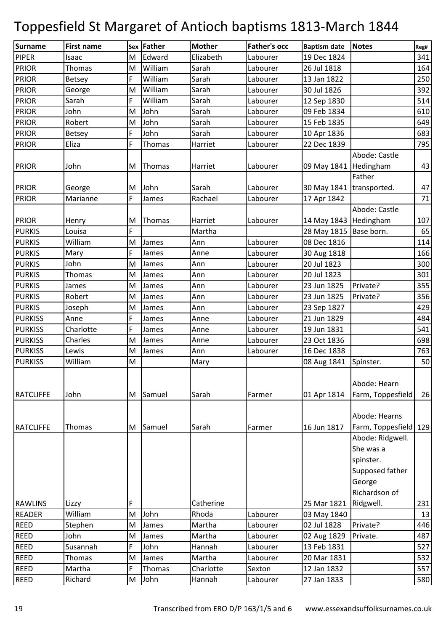| <b>Surname</b>   | <b>First name</b> |    | Sex Father | <b>Mother</b> | <b>Father's occ</b> | <b>Baptism date</b>      | <b>Notes</b>          | Reg# |
|------------------|-------------------|----|------------|---------------|---------------------|--------------------------|-----------------------|------|
| <b>PIPER</b>     | Isaac             | M  | Edward     | Elizabeth     | Labourer            | 19 Dec 1824              |                       | 341  |
| <b>PRIOR</b>     | Thomas            | M  | William    | Sarah         | Labourer            | 26 Jul 1818              |                       | 164  |
| <b>PRIOR</b>     | <b>Betsey</b>     | F  | William    | Sarah         | Labourer            | 13 Jan 1822              |                       | 250  |
| <b>PRIOR</b>     | George            | M  | William    | Sarah         | Labourer            | 30 Jul 1826              |                       | 392  |
| <b>PRIOR</b>     | Sarah             | F  | William    | Sarah         | Labourer            | 12 Sep 1830              |                       | 514  |
| <b>PRIOR</b>     | John              | M  | John       | Sarah         | Labourer            | 09 Feb 1834              |                       | 610  |
| <b>PRIOR</b>     | Robert            | M  | John       | Sarah         | Labourer            | 15 Feb 1835              |                       | 649  |
| <b>PRIOR</b>     | Betsey            | F  | John       | Sarah         | Labourer            | 10 Apr 1836              |                       | 683  |
| <b>PRIOR</b>     | Eliza             | F  | Thomas     | Harriet       | Labourer            | 22 Dec 1839              |                       | 795  |
|                  |                   |    |            |               |                     |                          | Abode: Castle         |      |
| <b>PRIOR</b>     | John              | M  | Thomas     | Harriet       | Labourer            | 09 May 1841              | Hedingham             | 43   |
|                  |                   |    |            |               |                     |                          | Father                |      |
| <b>PRIOR</b>     | George            | M  | John       | Sarah         | Labourer            | 30 May 1841 transported. |                       | 47   |
| <b>PRIOR</b>     | Marianne          | F. | James      | Rachael       | Labourer            | 17 Apr 1842              |                       | 71   |
|                  |                   |    |            |               |                     |                          | Abode: Castle         |      |
| <b>PRIOR</b>     | Henry             | M  | Thomas     | Harriet       | Labourer            | 14 May 1843              | Hedingham             | 107  |
| <b>PURKIS</b>    | Louisa            | F  |            | Martha        |                     | 28 May 1815   Base born. |                       | 65   |
| <b>PURKIS</b>    | William           | M  | James      | Ann           | Labourer            | 08 Dec 1816              |                       | 114  |
| <b>PURKIS</b>    | Mary              | F  | James      | Anne          | Labourer            | 30 Aug 1818              |                       | 166  |
| <b>PURKIS</b>    | John              | M  | James      | Ann           | Labourer            | 20 Jul 1823              |                       | 300  |
| <b>PURKIS</b>    | Thomas            | M  | James      | Ann           | Labourer            | 20 Jul 1823              |                       | 301  |
| <b>PURKIS</b>    | James             | M  | James      | Ann           | Labourer            | 23 Jun 1825              | Private?              | 355  |
| <b>PURKIS</b>    | Robert            | M  | James      | Ann           | Labourer            | 23 Jun 1825              | Private?              | 356  |
| <b>PURKIS</b>    | Joseph            | M  | James      | Ann           | Labourer            | 23 Sep 1827              |                       | 429  |
| <b>PURKISS</b>   | Anne              | F  | James      | Anne          | Labourer            | 21 Jun 1829              |                       | 484  |
| <b>PURKISS</b>   | Charlotte         | F  | James      | Anne          | Labourer            | 19 Jun 1831              |                       | 541  |
| <b>PURKISS</b>   | Charles           | M  | James      | Anne          | Labourer            | 23 Oct 1836              |                       | 698  |
| <b>PURKISS</b>   | Lewis             | M  | James      | Ann           | Labourer            | 16 Dec 1838              |                       | 763  |
| <b>PURKISS</b>   | William           | M  |            | Mary          |                     | 08 Aug 1841              | Spinster.             | 50   |
|                  |                   |    |            |               |                     |                          |                       |      |
|                  |                   |    |            |               |                     |                          | Abode: Hearn          |      |
| <b>RATCLIFFE</b> | John              | M  | Samuel     | Sarah         | Farmer              | 01 Apr 1814              | Farm, Toppesfield     | 26   |
|                  |                   |    |            |               |                     |                          |                       |      |
|                  |                   |    |            |               |                     |                          | Abode: Hearns         |      |
| <b>RATCLIFFE</b> | Thomas            | M  | Samuel     | Sarah         | Farmer              | 16 Jun 1817              | Farm, Toppesfield 129 |      |
|                  |                   |    |            |               |                     |                          | Abode: Ridgwell.      |      |
|                  |                   |    |            |               |                     |                          | She was a             |      |
|                  |                   |    |            |               |                     |                          | spinster.             |      |
|                  |                   |    |            |               |                     |                          | Supposed father       |      |
|                  |                   |    |            |               |                     |                          | George                |      |
|                  |                   |    |            |               |                     |                          | Richardson of         |      |
| <b>RAWLINS</b>   | Lizzy             | F  |            | Catherine     |                     | 25 Mar 1821              | Ridgwell.             | 231  |
| <b>READER</b>    | William           | M  | John       | Rhoda         | Labourer            | 03 May 1840              |                       | 13   |
| <b>REED</b>      | Stephen           | M  | James      | Martha        | Labourer            | 02 Jul 1828              | Private?              | 446  |
| <b>REED</b>      | John              | M  | James      | Martha        | Labourer            | 02 Aug 1829              | Private.              | 487  |
| <b>REED</b>      | Susannah          | F  | John       | Hannah        | Labourer            | 13 Feb 1831              |                       | 527  |
| <b>REED</b>      | Thomas            | M  | James      | Martha        | Labourer            | 20 Mar 1831              |                       | 532  |
| <b>REED</b>      | Martha            | F  | Thomas     | Charlotte     | Sexton              | 12 Jan 1832              |                       | 557  |
| <b>REED</b>      | Richard           | M  | John       | Hannah        | Labourer            | 27 Jan 1833              |                       | 580  |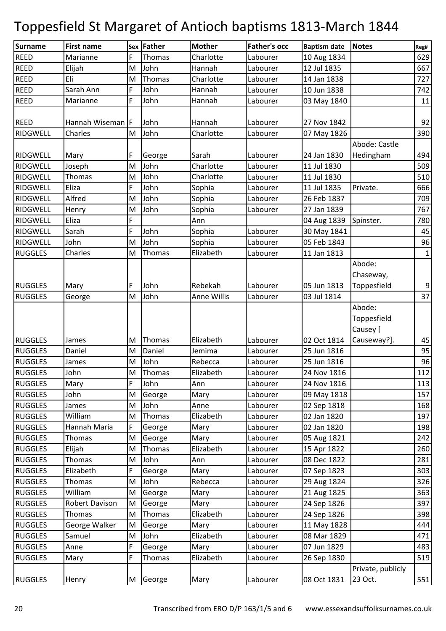| Surname         | <b>First name</b> |    | Sex Father | <b>Mother</b>      | <b>Father's occ</b> | <b>Baptism date</b> | <b>Notes</b>      | Reg#         |
|-----------------|-------------------|----|------------|--------------------|---------------------|---------------------|-------------------|--------------|
| <b>REED</b>     | Marianne          | F  | Thomas     | Charlotte          | Labourer            | 10 Aug 1834         |                   | 629          |
| <b>REED</b>     | Elijah            | M  | John       | Hannah             | Labourer            | 12 Jul 1835         |                   | 667          |
| <b>REED</b>     | Eli               | M  | Thomas     | Charlotte          | Labourer            | 14 Jan 1838         |                   | 727          |
| <b>REED</b>     | Sarah Ann         | F  | John       | Hannah             | Labourer            | 10 Jun 1838         |                   | 742          |
| <b>REED</b>     | Marianne          | F  | John       | Hannah             | Labourer            | 03 May 1840         |                   | 11           |
|                 |                   |    |            |                    |                     |                     |                   |              |
| <b>REED</b>     | Hannah Wiseman F  |    | John       | Hannah             | Labourer            | 27 Nov 1842         |                   | 92           |
| RIDGWELL        | Charles           | M  | John       | Charlotte          | Labourer            | 07 May 1826         |                   | 390          |
|                 |                   |    |            |                    |                     |                     | Abode: Castle     |              |
| <b>RIDGWELL</b> | Mary              | F  | George     | Sarah              | Labourer            | 24 Jan 1830         | Hedingham         | 494          |
| <b>RIDGWELL</b> | Joseph            | M  | John       | Charlotte          | Labourer            | 11 Jul 1830         |                   | 509          |
| <b>RIDGWELL</b> | Thomas            | M  | John       | Charlotte          | Labourer            | 11 Jul 1830         |                   | 510          |
| <b>RIDGWELL</b> | Eliza             | F  | John       | Sophia             | Labourer            | 11 Jul 1835         | Private.          | 666          |
| RIDGWELL        | Alfred            | M  | John       | Sophia             | Labourer            | 26 Feb 1837         |                   | 709          |
| <b>RIDGWELL</b> | Henry             | M  | John       | Sophia             | Labourer            | 27 Jan 1839         |                   | 767          |
| <b>RIDGWELL</b> | Eliza             | F  |            | Ann                |                     | 04 Aug 1839         | Spinster.         | 780          |
| RIDGWELL        | Sarah             | F  | John       | Sophia             | Labourer            | 30 May 1841         |                   | 45           |
| <b>RIDGWELL</b> | John              | M  | John       | Sophia             | Labourer            | 05 Feb 1843         |                   | 96           |
| <b>RUGGLES</b>  | Charles           | M  | Thomas     | Elizabeth          | Labourer            | 11 Jan 1813         |                   | $\mathbf{1}$ |
|                 |                   |    |            |                    |                     |                     | Abode:            |              |
|                 |                   |    |            |                    |                     |                     | Chaseway,         |              |
| <b>RUGGLES</b>  | Mary              | F  | John       | Rebekah            | Labourer            | 05 Jun 1813         | Toppesfield       | 9            |
| <b>RUGGLES</b>  | George            | M  | John       | <b>Anne Willis</b> | Labourer            | 03 Jul 1814         |                   | 37           |
|                 |                   |    |            |                    |                     |                     | Abode:            |              |
|                 |                   |    |            |                    |                     |                     | Toppesfield       |              |
|                 |                   |    |            |                    |                     |                     | Causey [          |              |
| <b>RUGGLES</b>  | James             | M  | Thomas     | Elizabeth          | Labourer            | 02 Oct 1814         | Causeway?].       | 45           |
| <b>RUGGLES</b>  | Daniel            | M  | Daniel     | Jemima             | Labourer            | 25 Jun 1816         |                   | 95           |
| <b>RUGGLES</b>  | James             | M  | John       | Rebecca            | Labourer            | 25 Jun 1816         |                   | 96           |
| <b>RUGGLES</b>  | John              | M  | Thomas     | Elizabeth          | Labourer            | 24 Nov 1816         |                   | 112          |
| <b>RUGGLES</b>  | Mary              | F  | John       | Ann                | Labourer            | 24 Nov 1816         |                   | 113          |
| <b>RUGGLES</b>  | John              | M  | George     | Mary               | Labourer            | 09 May 1818         |                   | 157          |
| <b>RUGGLES</b>  | James             | M  | John       | Anne               | Labourer            | 02 Sep 1818         |                   | 168          |
| <b>RUGGLES</b>  | William           | M  | Thomas     | Elizabeth          | Labourer            | 02 Jan 1820         |                   | 197          |
| <b>RUGGLES</b>  | Hannah Maria      | F. | George     | Mary               | Labourer            | 02 Jan 1820         |                   | 198          |
| <b>RUGGLES</b>  | Thomas            | M  | George     | Mary               | Labourer            | 05 Aug 1821         |                   | 242          |
| <b>RUGGLES</b>  | Elijah            | M  | Thomas     | Elizabeth          | Labourer            | 15 Apr 1822         |                   | 260          |
| <b>RUGGLES</b>  | Thomas            | M  | John       | Ann                | Labourer            | 08 Dec 1822         |                   | 281          |
| <b>RUGGLES</b>  | Elizabeth         | F  | George     | Mary               | Labourer            | 07 Sep 1823         |                   | 303          |
| <b>RUGGLES</b>  | Thomas            | M  | John       | Rebecca            | Labourer            | 29 Aug 1824         |                   | 326          |
| <b>RUGGLES</b>  | William           | M  | George     | Mary               | Labourer            | 21 Aug 1825         |                   | 363          |
| <b>RUGGLES</b>  | Robert Davison    | M  | George     | Mary               | Labourer            | 24 Sep 1826         |                   | 397          |
| <b>RUGGLES</b>  | Thomas            | M  | Thomas     | Elizabeth          | Labourer            | 24 Sep 1826         |                   | 398          |
| <b>RUGGLES</b>  | George Walker     | M  | George     | Mary               | Labourer            | 11 May 1828         |                   | 444          |
| <b>RUGGLES</b>  | Samuel            | M  | John       | Elizabeth          | Labourer            | 08 Mar 1829         |                   | 471          |
| <b>RUGGLES</b>  | Anne              | F  | George     | Mary               | Labourer            | 07 Jun 1829         |                   | 483          |
| <b>RUGGLES</b>  | Mary              | F  | Thomas     | Elizabeth          | Labourer            | 26 Sep 1830         |                   | 519          |
|                 |                   |    |            |                    |                     |                     | Private, publicly |              |
| <b>RUGGLES</b>  | Henry             |    | M George   | Mary               | Labourer            | 08 Oct 1831         | 23 Oct.           | 551          |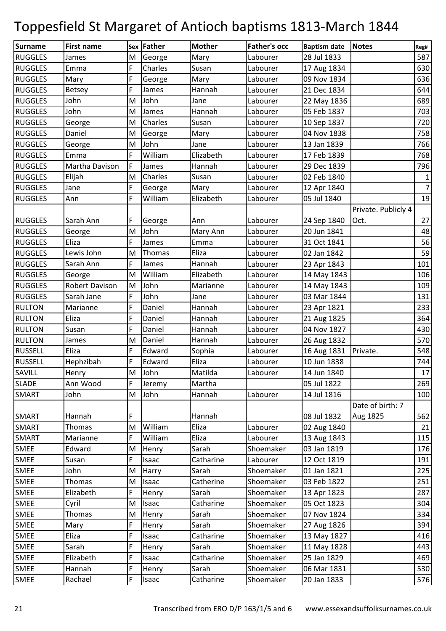| <b>Surname</b>                  | <b>First name</b> |           | Sex Father     | <b>Mother</b>      | <b>Father's occ</b>    | <b>Baptism date</b>        | <b>Notes</b>        |                |
|---------------------------------|-------------------|-----------|----------------|--------------------|------------------------|----------------------------|---------------------|----------------|
| <b>RUGGLES</b>                  | James             | M         | George         | Mary               | Labourer               | 28 Jul 1833                |                     | Reg#<br>587    |
| <b>RUGGLES</b>                  | Emma              | F         | Charles        | Susan              | Labourer               | 17 Aug 1834                |                     | 630            |
| <b>RUGGLES</b>                  | Mary              | F         | George         | Mary               | Labourer               | 09 Nov 1834                |                     | 636            |
| <b>RUGGLES</b>                  | <b>Betsey</b>     | F         | James          | Hannah             | Labourer               | 21 Dec 1834                |                     | 644            |
| <b>RUGGLES</b>                  | John              | M         | John           | Jane               | Labourer               | 22 May 1836                |                     | 689            |
| <b>RUGGLES</b>                  | John              | M         | James          | Hannah             | Labourer               | 05 Feb 1837                |                     | 703            |
| <b>RUGGLES</b>                  | George            | M         | Charles        | Susan              | Labourer               | 10 Sep 1837                |                     | 720            |
| <b>RUGGLES</b>                  | Daniel            | M         | George         | Mary               | Labourer               | 04 Nov 1838                |                     | 758            |
| <b>RUGGLES</b>                  | George            | M         | John           | Jane               | Labourer               | 13 Jan 1839                |                     | 766            |
| <b>RUGGLES</b>                  | Emma              | F         | William        | Elizabeth          | Labourer               | 17 Feb 1839                |                     | 768            |
| <b>RUGGLES</b>                  | Martha Davison    | F         | James          | Hannah             | Labourer               | 29 Dec 1839                |                     | 796            |
| <b>RUGGLES</b>                  | Elijah            | M         | Charles        | Susan              | Labourer               | 02 Feb 1840                |                     | $\mathbf{1}$   |
| <b>RUGGLES</b>                  | Jane              | F         | George         | Mary               | Labourer               | 12 Apr 1840                |                     | $\overline{7}$ |
| <b>RUGGLES</b>                  | Ann               | F         | William        | Elizabeth          | Labourer               | 05 Jul 1840                |                     | 19             |
|                                 |                   |           |                |                    |                        |                            | Private. Publicly 4 |                |
| <b>RUGGLES</b>                  | Sarah Ann         | F         | George         | Ann                | Labourer               | 24 Sep 1840                | Oct.                | 27             |
| <b>RUGGLES</b>                  | George            | M         | John           | Mary Ann           | Labourer               | 20 Jun 1841                |                     | 48             |
| <b>RUGGLES</b>                  | Eliza             | F         | James          | Emma               | Labourer               | 31 Oct 1841                |                     | 56             |
| <b>RUGGLES</b>                  | Lewis John        | M         | Thomas         | Eliza              | Labourer               | 02 Jan 1842                |                     | 59             |
| <b>RUGGLES</b>                  | Sarah Ann         | F         | James          | Hannah             | Labourer               | 23 Apr 1843                |                     | 101            |
| <b>RUGGLES</b>                  | George            | M         | William        | Elizabeth          | Labourer               | 14 May 1843                |                     | 106            |
| <b>RUGGLES</b>                  | Robert Davison    | M         | John           | Marianne           | Labourer               | 14 May 1843                |                     | 109            |
| <b>RUGGLES</b>                  | Sarah Jane        | F         | John           | Jane               | Labourer               | 03 Mar 1844                |                     | 131            |
| <b>RULTON</b>                   | Marianne          | F         | Daniel         | Hannah             | Labourer               |                            |                     | 233            |
| <b>RULTON</b>                   | Eliza             | F         | Daniel         |                    |                        | 23 Apr 1821                |                     | 364            |
|                                 |                   | F         | Daniel         | Hannah<br>Hannah   | Labourer               | 21 Aug 1825                |                     | 430            |
| <b>RULTON</b>                   | Susan             | M         | Daniel         | Hannah             | Labourer               | 04 Nov 1827                |                     |                |
| <b>RULTON</b><br><b>RUSSELL</b> | James<br>Eliza    | F         |                |                    | Labourer               | 26 Aug 1832                |                     | 570<br>548     |
|                                 |                   |           | Edward         | Sophia             | Labourer               | 16 Aug 1831                | Private.            |                |
| <b>RUSSELL</b>                  | Hephzibah         | F         | Edward         | Eliza              | Labourer               | 10 Jun 1838                |                     | 744            |
| SAVILL<br><b>SLADE</b>          | Henry<br>Ann Wood | ${\sf M}$ | John           | Matilda            | Labourer               | 14 Jun 1840                |                     | 17             |
|                                 |                   | F         | Jeremy         | Martha             |                        | 05 Jul 1822                |                     | 269            |
| <b>SMART</b>                    | John              | M         | John           | Hannah             | Labourer               | 14 Jul 1816                | Date of birth: 7    | 100            |
|                                 |                   |           |                |                    |                        |                            |                     |                |
| <b>SMART</b><br><b>SMART</b>    | Hannah<br>Thomas  | F<br>M    | William        | Hannah<br>Eliza    | Labourer               | 08 Jul 1832<br>02 Aug 1840 | Aug 1825            | 562            |
|                                 | Marianne          |           | William        |                    |                        |                            |                     | 21<br>115      |
| <b>SMART</b>                    | Edward            | F         |                | Eliza<br>Sarah     | Labourer<br>Shoemaker  | 13 Aug 1843<br>03 Jan 1819 |                     |                |
| <b>SMEE</b>                     |                   | M<br>F    | Henry<br>Isaac | Catharine          |                        |                            |                     | 176            |
| <b>SMEE</b>                     | Susan             |           |                |                    | Labourer               | 12 Oct 1819                |                     | 191            |
| <b>SMEE</b><br>SMEE             | John<br>Thomas    | M<br>M    | Harry          | Sarah<br>Catherine | Shoemaker<br>Shoemaker | 01 Jan 1821<br>03 Feb 1822 |                     | 225<br>251     |
| <b>SMEE</b>                     | Elizabeth         |           | Isaac          | Sarah              | Shoemaker              |                            |                     | 287            |
| <b>SMEE</b>                     |                   | M         | Henry          | Catharine          | Shoemaker              | 13 Apr 1823<br>05 Oct 1823 |                     | 304            |
| <b>SMEE</b>                     | Cyril<br>Thomas   | M         | Isaac          | Sarah              | Shoemaker              | 07 Nov 1824                |                     | 334            |
|                                 |                   |           | Henry          | Sarah              |                        |                            |                     |                |
| <b>SMEE</b>                     | Mary              | F         | Henry          |                    | Shoemaker              | 27 Aug 1826                |                     | 394            |
| SMEE<br><b>SMEE</b>             | Eliza             | F<br>F    | Isaac          | Catharine          | Shoemaker              | 13 May 1827                |                     | 416<br>443     |
|                                 | Sarah             | F         | Henry          | Sarah              | Shoemaker              | 11 May 1828                |                     |                |
| <b>SMEE</b>                     | Elizabeth         |           | Isaac          | Catharine          | Shoemaker              | 25 Jan 1829                |                     | 469            |
| <b>SMEE</b>                     | Hannah            | F         | Henry          | Sarah              | Shoemaker              | 06 Mar 1831                |                     | 530            |
| SMEE                            | Rachael           | F         | Isaac          | Catharine          | Shoemaker              | 20 Jan 1833                |                     | 576            |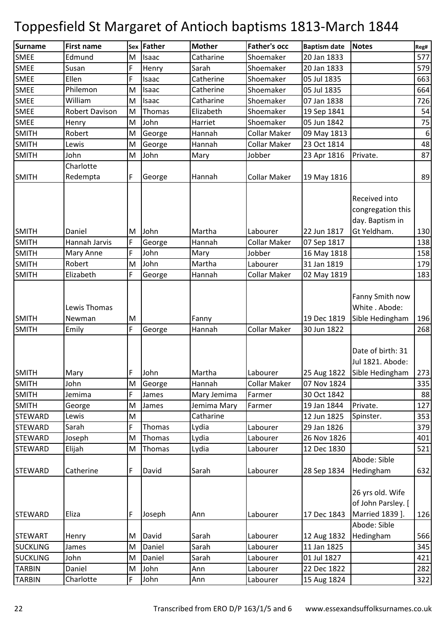| <b>Surname</b>  | <b>First name</b>      | <b>Sex</b> | Father | <b>Mother</b> | <b>Father's occ</b> | <b>Baptism date</b> | <b>Notes</b>                                                             | Reg#             |
|-----------------|------------------------|------------|--------|---------------|---------------------|---------------------|--------------------------------------------------------------------------|------------------|
| <b>SMEE</b>     | Edmund                 | M          | Isaac  | Catharine     | Shoemaker           | 20 Jan 1833         |                                                                          | 577              |
| <b>SMEE</b>     | Susan                  | F          | Henry  | Sarah         | Shoemaker           | 20 Jan 1833         |                                                                          | 579              |
| <b>SMEE</b>     | Ellen                  | F          | Isaac  | Catherine     | Shoemaker           | 05 Jul 1835         |                                                                          | 663              |
| <b>SMEE</b>     | Philemon               | M          | Isaac  | Catherine     | Shoemaker           | 05 Jul 1835         |                                                                          | 664              |
| <b>SMEE</b>     | William                | M          | Isaac  | Catharine     | Shoemaker           | 07 Jan 1838         |                                                                          | 726              |
| <b>SMEE</b>     | <b>Robert Davison</b>  | M          | Thomas | Elizabeth     | Shoemaker           | 19 Sep 1841         |                                                                          | 54               |
| <b>SMEE</b>     | Henry                  | M          | John   | Harriet       | Shoemaker           | 05 Jun 1842         |                                                                          | 75               |
| <b>SMITH</b>    | Robert                 | M          | George | Hannah        | <b>Collar Maker</b> | 09 May 1813         |                                                                          | $\boldsymbol{6}$ |
| <b>SMITH</b>    | Lewis                  | M          | George | Hannah        | <b>Collar Maker</b> | 23 Oct 1814         |                                                                          | 48               |
| <b>SMITH</b>    | John                   | M          | John   | Mary          | Jobber              | 23 Apr 1816         | Private.                                                                 | 87               |
|                 | Charlotte              |            |        |               |                     |                     |                                                                          |                  |
| <b>SMITH</b>    | Redempta               | F          | George | Hannah        | <b>Collar Maker</b> | 19 May 1816         |                                                                          | 89               |
|                 |                        |            |        |               |                     |                     | Received into<br>congregation this<br>day. Baptism in                    |                  |
| <b>SMITH</b>    | Daniel                 | M          | John   | Martha        | Labourer            | 22 Jun 1817         | Gt Yeldham.                                                              | 130              |
| <b>SMITH</b>    | Hannah Jarvis          | F          | George | Hannah        | <b>Collar Maker</b> | 07 Sep 1817         |                                                                          | 138              |
| <b>SMITH</b>    | Mary Anne              | F          | John   | Mary          | Jobber              | 16 May 1818         |                                                                          | 158              |
| <b>SMITH</b>    | Robert                 | M          | John   | Martha        | Labourer            | 31 Jan 1819         |                                                                          | 179              |
| <b>SMITH</b>    | Elizabeth              | F          | George | Hannah        | <b>Collar Maker</b> | 02 May 1819         |                                                                          | 183              |
| <b>SMITH</b>    | Lewis Thomas<br>Newman | M          |        | Fanny         |                     | 19 Dec 1819         | Fanny Smith now<br>White . Abode:<br>Sible Hedingham                     | 196              |
| <b>SMITH</b>    | Emily                  | F          | George | Hannah        | <b>Collar Maker</b> | 30 Jun 1822         |                                                                          | 268              |
| <b>SMITH</b>    | Mary                   | IF.        | John   | Martha        | Labourer            |                     | Date of birth: 31<br>Jul 1821. Abode:<br>25 Aug 1822 Sible Hedingham 273 |                  |
| <b>SMITH</b>    | John                   | M          | George | Hannah        | <b>Collar Maker</b> | 07 Nov 1824         |                                                                          | 335              |
| <b>SMITH</b>    | Jemima                 | F          | James  | Mary Jemima   | Farmer              | 30 Oct 1842         |                                                                          | 88               |
| <b>SMITH</b>    | George                 | M          | James  | Jemima Mary   | Farmer              | 19 Jan 1844         | Private.                                                                 | 127              |
| <b>STEWARD</b>  | Lewis                  | M          |        | Catharine     |                     | 12 Jun 1825         | Spinster.                                                                | 353              |
| <b>STEWARD</b>  | Sarah                  | F          | Thomas | Lydia         | Labourer            | 29 Jan 1826         |                                                                          | 379              |
| <b>STEWARD</b>  | Joseph                 | M          | Thomas | Lydia         | Labourer            | 26 Nov 1826         |                                                                          | 401              |
| <b>STEWARD</b>  | Elijah                 | M          | Thomas | Lydia         | Labourer            | 12 Dec 1830         |                                                                          | 521              |
| <b>STEWARD</b>  | Catherine              | F          | David  | Sarah         | Labourer            | 28 Sep 1834         | Abode: Sible<br>Hedingham                                                | 632              |
| <b>STEWARD</b>  | Eliza                  | F          | Joseph | Ann           | Labourer            | 17 Dec 1843         | 26 yrs old. Wife<br>of John Parsley. [<br>Married 1839 ].                | 126              |
|                 |                        |            |        |               |                     |                     | Abode: Sible                                                             |                  |
| <b>STEWART</b>  | Henry                  | M          | David  | Sarah         | Labourer            | 12 Aug 1832         | Hedingham                                                                | 566              |
| <b>SUCKLING</b> | James                  | M          | Daniel | Sarah         | Labourer            | 11 Jan 1825         |                                                                          | 345              |
| <b>SUCKLING</b> | John                   | M          | Daniel | Sarah         | Labourer            | 01 Jul 1827         |                                                                          | 421              |
| <b>TARBIN</b>   | Daniel                 | M          | John   | Ann           | Labourer            | 22 Dec 1822         |                                                                          | 282              |
| <b>TARBIN</b>   | Charlotte              | F          | John   | Ann           | Labourer            | 15 Aug 1824         |                                                                          | 322              |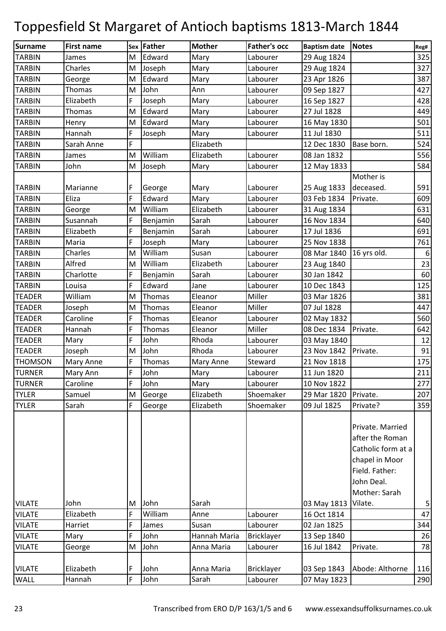| <b>Surname</b> | <b>First name</b> |   | Sex Father | <b>Mother</b> | <b>Father's occ</b> | <b>Baptism date</b> | <b>Notes</b>                                                                                  | Reg#             |
|----------------|-------------------|---|------------|---------------|---------------------|---------------------|-----------------------------------------------------------------------------------------------|------------------|
| <b>TARBIN</b>  | James             | M | Edward     | Mary          | Labourer            | 29 Aug 1824         |                                                                                               | 325              |
| <b>TARBIN</b>  | Charles           | M | Joseph     | Mary          | Labourer            | 29 Aug 1824         |                                                                                               | 327              |
| <b>TARBIN</b>  | George            | M | Edward     | Mary          | Labourer            | 23 Apr 1826         |                                                                                               | 387              |
| <b>TARBIN</b>  | Thomas            | M | John       | Ann           | Labourer            | 09 Sep 1827         |                                                                                               | 427              |
| <b>TARBIN</b>  | Elizabeth         | F | Joseph     | Mary          | Labourer            | 16 Sep 1827         |                                                                                               | 428              |
| <b>TARBIN</b>  | Thomas            | M | Edward     | Mary          | Labourer            | 27 Jul 1828         |                                                                                               | 449              |
| <b>TARBIN</b>  | Henry             | M | Edward     | Mary          | Labourer            | 16 May 1830         |                                                                                               | 501              |
| <b>TARBIN</b>  | Hannah            | F | Joseph     | Mary          | Labourer            | 11 Jul 1830         |                                                                                               | 511              |
| <b>TARBIN</b>  | Sarah Anne        | F |            | Elizabeth     |                     | 12 Dec 1830         | Base born.                                                                                    | 524              |
| <b>TARBIN</b>  | James             | M | William    | Elizabeth     | Labourer            | 08 Jan 1832         |                                                                                               | 556              |
| <b>TARBIN</b>  | John              | M | Joseph     | Mary          | Labourer            | 12 May 1833         |                                                                                               | 584              |
|                |                   |   |            |               |                     |                     | Mother is                                                                                     |                  |
| <b>TARBIN</b>  | Marianne          | F | George     | Mary          | Labourer            | 25 Aug 1833         | deceased.                                                                                     | 591              |
| <b>TARBIN</b>  | Eliza             | F | Edward     | Mary          | Labourer            | 03 Feb 1834         | Private.                                                                                      | 609              |
| <b>TARBIN</b>  | George            | M | William    | Elizabeth     | Labourer            | 31 Aug 1834         |                                                                                               | 631              |
| <b>TARBIN</b>  | Susannah          | F | Benjamin   | Sarah         | Labourer            | 16 Nov 1834         |                                                                                               | 640              |
| <b>TARBIN</b>  | Elizabeth         | F | Benjamin   | Sarah         | Labourer            | 17 Jul 1836         |                                                                                               | 691              |
| <b>TARBIN</b>  | Maria             | F | Joseph     | Mary          | Labourer            | 25 Nov 1838         |                                                                                               | 761              |
| <b>TARBIN</b>  | Charles           | M | William    | Susan         | Labourer            | 08 Mar 1840         | 16 yrs old.                                                                                   | $\boldsymbol{6}$ |
| <b>TARBIN</b>  | Alfred            | M | William    | Elizabeth     | Labourer            | 23 Aug 1840         |                                                                                               | 23               |
| <b>TARBIN</b>  | Charlotte         | F | Benjamin   | Sarah         | Labourer            | 30 Jan 1842         |                                                                                               | 60               |
| <b>TARBIN</b>  | Louisa            | F | Edward     | Jane          | Labourer            | 10 Dec 1843         |                                                                                               | 125              |
| <b>TEADER</b>  | William           | M | Thomas     | Eleanor       | Miller              | 03 Mar 1826         |                                                                                               | 381              |
| <b>TEADER</b>  | Joseph            | M | Thomas     | Eleanor       | Miller              | 07 Jul 1828         |                                                                                               | 447              |
| <b>TEADER</b>  | Caroline          | F | Thomas     | Eleanor       | Labourer            | 02 May 1832         |                                                                                               | 560              |
| <b>TEADER</b>  | Hannah            | F | Thomas     | Eleanor       | Miller              | 08 Dec 1834         | Private.                                                                                      | 642              |
| <b>TEADER</b>  | Mary              | F | John       | Rhoda         | Labourer            | 03 May 1840         |                                                                                               | 12               |
| <b>TEADER</b>  | Joseph            | M | John       | Rhoda         | Labourer            | 23 Nov 1842         | Private.                                                                                      | 91               |
| <b>THOMSON</b> | Mary Anne         | F | Thomas     | Mary Anne     | Steward             | 21 Nov 1818         |                                                                                               | 175              |
| <b>TURNER</b>  | Mary Ann          | F | John       | Mary          | Labourer            | 11 Jun 1820         |                                                                                               | 211              |
| <b>TURNER</b>  | Caroline          | F | John       | Mary          | Labourer            | 10 Nov 1822         |                                                                                               | 277              |
| <b>TYLER</b>   | Samuel            | M | George     | Elizabeth     | Shoemaker           | 29 Mar 1820         | Private.                                                                                      | 207              |
| <b>TYLER</b>   | Sarah             | F | George     | Elizabeth     | Shoemaker           | 09 Jul 1825         | Private?                                                                                      | 359              |
|                |                   |   |            |               |                     |                     | Private. Married<br>after the Roman<br>Catholic form at a<br>chapel in Moor<br>Field. Father: |                  |
|                |                   |   |            |               |                     |                     | John Deal.                                                                                    |                  |
|                |                   |   |            |               |                     |                     | Mother: Sarah                                                                                 |                  |
| <b>VILATE</b>  | John              | M | John       | Sarah         |                     | 03 May 1813         | Vilate.                                                                                       | 5                |
| <b>VILATE</b>  | Elizabeth         | F | William    | Anne          | Labourer            | 16 Oct 1814         |                                                                                               | 47               |
| <b>VILATE</b>  | Harriet           | F | James      | Susan         | Labourer            | 02 Jan 1825         |                                                                                               | 344              |
| <b>VILATE</b>  | Mary              | F | John       | Hannah Maria  | Bricklayer          | 13 Sep 1840         |                                                                                               | 26               |
| <b>VILATE</b>  | George            | M | John       | Anna Maria    | Labourer            | 16 Jul 1842         | Private.                                                                                      | 78               |
|                |                   |   |            |               |                     |                     |                                                                                               |                  |
| <b>VILATE</b>  | Elizabeth         | F | John       | Anna Maria    | <b>Bricklayer</b>   | 03 Sep 1843         | Abode: Althorne                                                                               | 116              |
| <b>WALL</b>    | Hannah            | F | John       | Sarah         | Labourer            | 07 May 1823         |                                                                                               | 290              |
|                |                   |   |            |               |                     |                     |                                                                                               |                  |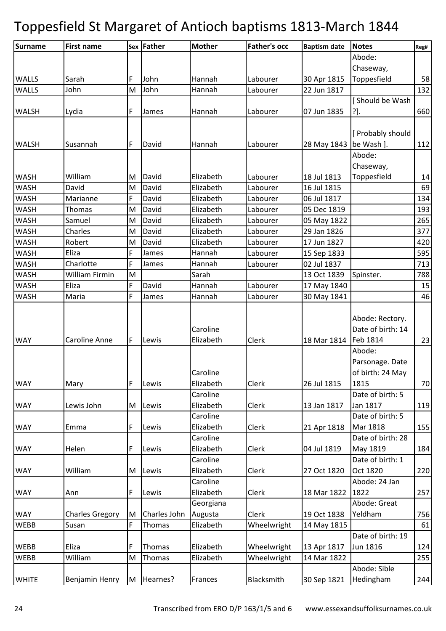| Surname      | <b>First name</b>      |   | Sex   Father | <b>Mother</b>         | <b>Father's occ</b> | <b>Baptism date</b>      | <b>Notes</b>                 | Reg# |
|--------------|------------------------|---|--------------|-----------------------|---------------------|--------------------------|------------------------------|------|
|              |                        |   |              |                       |                     |                          | Abode:                       |      |
|              |                        |   |              |                       |                     |                          | Chaseway,                    |      |
| <b>WALLS</b> | Sarah                  | F | John         | Hannah                | Labourer            | 30 Apr 1815              | Toppesfield                  | 58   |
| <b>WALLS</b> | John                   | M | John         | Hannah                | Labourer            | 22 Jun 1817              |                              | 132  |
|              |                        |   |              |                       |                     |                          | [ Should be Wash             |      |
| <b>WALSH</b> | Lydia                  | F | James        | Hannah                | Labourer            | 07 Jun 1835              | ?].                          | 660  |
|              |                        |   |              |                       |                     |                          |                              |      |
|              |                        |   |              |                       |                     |                          | [ Probably should            |      |
| <b>WALSH</b> | Susannah               | F | David        | Hannah                | Labourer            | 28 May 1843   be Wash ]. |                              | 112  |
|              |                        |   |              |                       |                     |                          | Abode:                       |      |
|              |                        |   |              |                       |                     |                          | Chaseway,                    |      |
| <b>WASH</b>  | William                | M | David        | Elizabeth             | Labourer            | 18 Jul 1813              | Toppesfield                  | 14   |
| WASH         | David                  | M | David        | Elizabeth             | Labourer            | 16 Jul 1815              |                              | 69   |
| <b>WASH</b>  | Marianne               | F | David        | Elizabeth             | Labourer            | 06 Jul 1817              |                              | 134  |
| <b>WASH</b>  | Thomas                 | M | David        | Elizabeth             | Labourer            | 05 Dec 1819              |                              | 193  |
| <b>WASH</b>  | Samuel                 | M | David        | Elizabeth             | Labourer            | 05 May 1822              |                              | 265  |
| <b>WASH</b>  | Charles                | M | David        | Elizabeth             | Labourer            | 29 Jan 1826              |                              | 377  |
| <b>WASH</b>  | Robert                 | M | David        | Elizabeth             | Labourer            | 17 Jun 1827              |                              | 420  |
| <b>WASH</b>  | Eliza                  | F | James        | Hannah                | Labourer            | 15 Sep 1833              |                              | 595  |
| <b>WASH</b>  | Charlotte              | F | James        | Hannah                | Labourer            | 02 Jul 1837              |                              | 713  |
| <b>WASH</b>  | William Firmin         | M |              | Sarah                 |                     | 13 Oct 1839              | Spinster.                    | 788  |
| <b>WASH</b>  | Eliza                  | F | David        | Hannah                | Labourer            | 17 May 1840              |                              | 15   |
| <b>WASH</b>  | Maria                  | F | James        | Hannah                | Labourer            | 30 May 1841              |                              | 46   |
|              |                        |   |              |                       |                     |                          |                              |      |
|              |                        |   |              |                       |                     |                          | Abode: Rectory.              |      |
|              |                        |   |              | Caroline              |                     |                          | Date of birth: 14            |      |
| <b>WAY</b>   | <b>Caroline Anne</b>   | F | Lewis        | Elizabeth             | Clerk               | 18 Mar 1814   Feb 1814   |                              | 23   |
|              |                        |   |              |                       |                     |                          | Abode:                       |      |
|              |                        |   |              |                       |                     |                          | Parsonage. Date              |      |
|              |                        |   |              | Caroline              |                     |                          | of birth: 24 May             |      |
| <b>WAY</b>   | Mary                   | F | Lewis        | Elizabeth             | Clerk               | 26 Jul 1815              | 1815                         | 70   |
|              |                        |   |              | Caroline              |                     |                          | Date of birth: 5             |      |
| <b>WAY</b>   | Lewis John             | M | Lewis        | Elizabeth             | Clerk               | 13 Jan 1817              | Jan 1817                     | 119  |
|              |                        |   |              | Caroline              |                     |                          | Date of birth: 5             |      |
| <b>WAY</b>   | Emma                   | F | Lewis        | Elizabeth             | Clerk               | 21 Apr 1818              | Mar 1818                     | 155  |
|              |                        |   |              | Caroline              |                     |                          | Date of birth: 28            |      |
| <b>WAY</b>   | Helen                  | F | Lewis        | Elizabeth<br>Caroline | Clerk               | 04 Jul 1819              | May 1819<br>Date of birth: 1 | 184  |
|              | William                |   |              | Elizabeth             | Clerk               | 27 Oct 1820              | Oct 1820                     |      |
| <b>WAY</b>   |                        | M | Lewis        | Caroline              |                     |                          | Abode: 24 Jan                | 220  |
| <b>WAY</b>   | Ann                    | F | Lewis        | Elizabeth             | Clerk               | 18 Mar 1822              | 1822                         | 257  |
|              |                        |   |              | Georgiana             |                     |                          | Abode: Great                 |      |
| <b>WAY</b>   | <b>Charles Gregory</b> | M | Charles John | Augusta               | Clerk               | 19 Oct 1838              | Yeldham                      | 756  |
| <b>WEBB</b>  | Susan                  | F | Thomas       | Elizabeth             | Wheelwright         | 14 May 1815              |                              | 61   |
|              |                        |   |              |                       |                     |                          | Date of birth: 19            |      |
| <b>WEBB</b>  | Eliza                  | F | Thomas       | Elizabeth             | Wheelwright         | 13 Apr 1817              | Jun 1816                     | 124  |
| <b>WEBB</b>  | William                | M | Thomas       | Elizabeth             | Wheelwright         | 14 Mar 1822              |                              | 255  |
|              |                        |   |              |                       |                     |                          | Abode: Sible                 |      |
| <b>WHITE</b> | Benjamin Henry         | M | Hearnes?     | Frances               | Blacksmith          | 30 Sep 1821              | Hedingham                    | 244  |
|              |                        |   |              |                       |                     |                          |                              |      |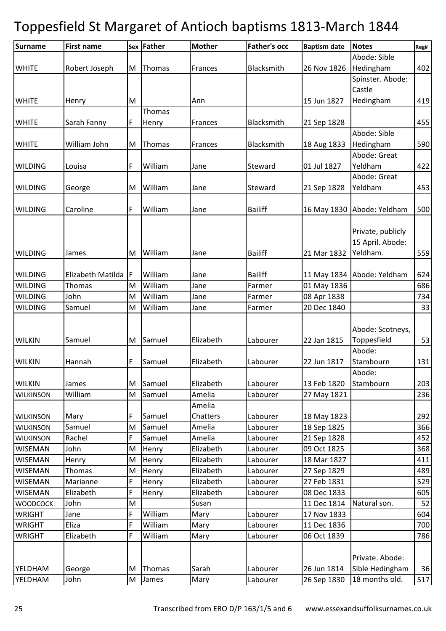| <b>Surname</b>   | <b>First name</b> |   | Sex Father | <b>Mother</b>   | <b>Father's occ</b> | <b>Baptism date</b> | <b>Notes</b>               | Reg# |
|------------------|-------------------|---|------------|-----------------|---------------------|---------------------|----------------------------|------|
|                  |                   |   |            |                 |                     |                     | Abode: Sible               |      |
| <b>WHITE</b>     | Robert Joseph     | M | Thomas     | Frances         | Blacksmith          | 26 Nov 1826         | Hedingham                  | 402  |
|                  |                   |   |            |                 |                     |                     | Spinster. Abode:           |      |
|                  |                   |   |            |                 |                     |                     | Castle                     |      |
| <b>WHITE</b>     | Henry             | M |            | Ann             |                     | 15 Jun 1827         | Hedingham                  | 419  |
|                  |                   |   | Thomas     |                 |                     |                     |                            |      |
| <b>WHITE</b>     | Sarah Fanny       | F | Henry      | Frances         | Blacksmith          | 21 Sep 1828         |                            | 455  |
|                  |                   |   |            |                 |                     |                     | Abode: Sible               |      |
| <b>WHITE</b>     | William John      | M | Thomas     | Frances         | Blacksmith          | 18 Aug 1833         | Hedingham                  | 590  |
|                  |                   |   |            |                 |                     |                     | Abode: Great               |      |
| <b>WILDING</b>   | Louisa            | F | William    | Jane            | Steward             | 01 Jul 1827         | Yeldham                    | 422  |
|                  |                   |   |            |                 |                     |                     | Abode: Great               |      |
| <b>WILDING</b>   | George            | M | William    | Jane            | Steward             | 21 Sep 1828         | Yeldham                    | 453  |
|                  |                   |   |            |                 |                     |                     |                            |      |
| <b>WILDING</b>   | Caroline          | F | William    | Jane            | <b>Bailiff</b>      |                     | 16 May 1830 Abode: Yeldham | 500  |
|                  |                   |   |            |                 |                     |                     |                            |      |
|                  |                   |   |            |                 |                     |                     | Private, publicly          |      |
|                  |                   |   |            |                 |                     |                     | 15 April. Abode:           |      |
| <b>WILDING</b>   | James             | M | William    | Jane            | <b>Bailiff</b>      | 21 Mar 1832         | Yeldham.                   | 559  |
|                  |                   |   |            |                 |                     |                     |                            |      |
| <b>WILDING</b>   | Elizabeth Matilda | F | William    | Jane            | <b>Bailiff</b>      | 11 May 1834         | Abode: Yeldham             | 624  |
| <b>WILDING</b>   | Thomas            | M | William    | Jane            | Farmer              | 01 May 1836         |                            | 686  |
| <b>WILDING</b>   | John              | M | William    | Jane            | Farmer              | 08 Apr 1838         |                            | 734  |
| <b>WILDING</b>   | Samuel            | M | William    | Jane            | Farmer              | 20 Dec 1840         |                            | 33   |
|                  |                   |   |            |                 |                     |                     |                            |      |
|                  |                   |   |            |                 |                     |                     | Abode: Scotneys,           |      |
| <b>WILKIN</b>    | Samuel            | M | Samuel     | Elizabeth       | Labourer            | 22 Jan 1815         | Toppesfield                | 53   |
|                  |                   |   |            |                 |                     |                     | Abode:                     |      |
| <b>WILKIN</b>    | Hannah            | F | Samuel     | Elizabeth       | Labourer            | 22 Jun 1817         | Stambourn                  | 131  |
|                  |                   |   |            |                 |                     |                     | Abode:                     |      |
| <b>WILKIN</b>    | James             | M | Samuel     | Elizabeth       | Labourer            | 13 Feb 1820         | Stambourn                  | 203  |
| <b>WILKINSON</b> | William           | M | Samuel     | Amelia          | Labourer            | 27 May 1821         |                            | 236  |
|                  |                   |   |            | Amelia          |                     |                     |                            |      |
| <b>WILKINSON</b> | Mary              | F | Samuel     | <b>Chatters</b> | Labourer            | 18 May 1823         |                            | 292  |
| <b>WILKINSON</b> | Samuel            | M | Samuel     | Amelia          | Labourer            | 18 Sep 1825         |                            | 366  |
| <b>WILKINSON</b> | Rachel            | F | Samuel     | Amelia          | Labourer            | 21 Sep 1828         |                            | 452  |
| <b>WISEMAN</b>   | John              | M | Henry      | Elizabeth       | Labourer            | 09 Oct 1825         |                            | 368  |
| <b>WISEMAN</b>   | Henry             | M | Henry      | Elizabeth       | Labourer            | 18 Mar 1827         |                            | 411  |
| <b>WISEMAN</b>   | Thomas            | M | Henry      | Elizabeth       | Labourer            | 27 Sep 1829         |                            | 489  |
| <b>WISEMAN</b>   | Marianne          | F | Henry      | Elizabeth       | Labourer            | 27 Feb 1831         |                            | 529  |
| <b>WISEMAN</b>   | Elizabeth         | F | Henry      | Elizabeth       | Labourer            | 08 Dec 1833         |                            | 605  |
| <b>WOODCOCK</b>  | John              | M |            | Susan           |                     | 11 Dec 1814         | Natural son.               | 52   |
| <b>WRIGHT</b>    | Jane              | F | William    | Mary            | Labourer            | 17 Nov 1833         |                            | 604  |
| <b>WRIGHT</b>    | Eliza             | F | William    | Mary            | Labourer            | 11 Dec 1836         |                            | 700  |
| <b>WRIGHT</b>    | Elizabeth         | F | William    | Mary            | Labourer            | 06 Oct 1839         |                            | 786  |
|                  |                   |   |            |                 |                     |                     |                            |      |
|                  |                   |   |            |                 |                     |                     | Private. Abode:            |      |
| YELDHAM          | George            | M | Thomas     | Sarah           | Labourer            | 26 Jun 1814         | Sible Hedingham            | 36   |
| YELDHAM          | John              | M | James      | Mary            | Labourer            | 26 Sep 1830         | 18 months old.             | 517  |